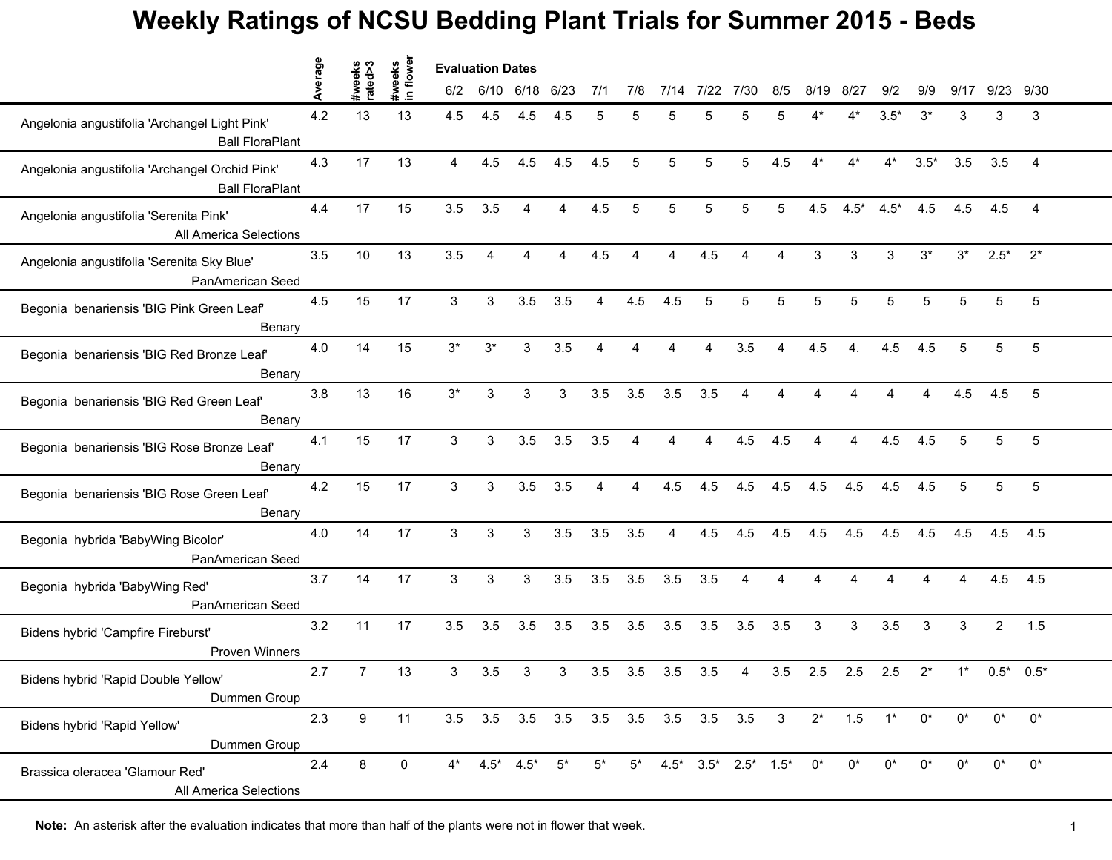|                                                                          | Average |                         | flower               | <b>Evaluation Dates</b> |                  |                 |       |       |       |                                     |                                 |                |                         |       |        |        |        |       |                |                |
|--------------------------------------------------------------------------|---------|-------------------------|----------------------|-------------------------|------------------|-----------------|-------|-------|-------|-------------------------------------|---------------------------------|----------------|-------------------------|-------|--------|--------|--------|-------|----------------|----------------|
|                                                                          |         | #weeks<br>rated>3<br>₩. | #weeks<br>$\epsilon$ | 6/2                     | 6/10             | 6/18            | 6/23  | 7/1   | 7/8   | 7/14                                | 7/22                            | 7/30           | 8/5                     | 8/19  | 8/27   | 9/2    | 9/9    | 9/17  | 9/23           | 9/30           |
| Angelonia angustifolia 'Archangel Light Pink'<br><b>Ball FloraPlant</b>  | 4.2     | 13                      | 13                   | 4.5                     | 4.5              | 4.5             | 4.5   | 5     |       | 5                                   |                                 | 5              | 5                       |       | 4*     | $3.5*$ | $3^*$  | 3     | 3              | 3              |
| Angelonia angustifolia 'Archangel Orchid Pink'<br><b>Ball FloraPlant</b> | 4.3     | 17                      | 13                   | $\overline{4}$          | 4.5              | 4.5             | 4.5   | 4.5   | 5     | 5                                   | 5                               | 5              | 4.5                     | $4^*$ | $4^*$  | $4^*$  | $3.5*$ | 3.5   | 3.5            | $\overline{4}$ |
| Angelonia angustifolia 'Serenita Pink'<br>All America Selections         | 4.4     | 17                      | 15                   | 3.5                     | 3.5              | 4               | 4     | 4.5   | 5     | 5                                   | 5                               | 5              | 5                       | 4.5   | $4.5*$ | $4.5*$ | 4.5    | 4.5   | 4.5            | 4              |
| Angelonia angustifolia 'Serenita Sky Blue'<br>PanAmerican Seed           | 3.5     | 10                      | 13                   | 3.5                     | $\boldsymbol{4}$ |                 | 4     | 4.5   |       |                                     | 4.5                             |                |                         | 3     | 3      | 3      | $3^*$  | $3^*$ | $2.5*$         | $2^*$          |
| Begonia benariensis 'BIG Pink Green Leaf'<br>Benary                      | 4.5     | 15                      | 17                   | 3                       | 3                | 3.5             | 3.5   | 4     | 4.5   | 4.5                                 | 5                               | 5              | 5                       | 5     | 5      | 5      | 5      | 5     | 5              | 5              |
| Begonia benariensis 'BIG Red Bronze Leaf'<br>Benary                      | 4.0     | 14                      | 15                   | $3^*$                   | $3^*$            | 3               | 3.5   | 4     | 4     | 4                                   | 4                               | 3.5            | $\overline{\mathbf{A}}$ | 4.5   | 4.     | 4.5    | 4.5    | 5     | 5              | 5              |
| Begonia benariensis 'BIG Red Green Leaf'<br>Benary                       | 3.8     | 13                      | 16                   | $3^{\ast}$              | 3                | 3               | 3     | 3.5   | 3.5   | 3.5                                 | 3.5                             | $\overline{4}$ | $\overline{\mathbf{4}}$ | Δ     | Δ      | 4      | 4      | 4.5   | 4.5            | $\,$ 5 $\,$    |
| Begonia benariensis 'BIG Rose Bronze Leaf'<br>Benary                     | 4.1     | 15                      | 17                   | $\mathfrak{S}$          | 3                | 3.5             | 3.5   | 3.5   | 4     |                                     | ⊿                               | 4.5            | 4.5                     |       | 4      | 4.5    | 4.5    | 5     | 5              | 5              |
| Begonia benariensis 'BIG Rose Green Leaf'<br>Benary                      | 4.2     | 15                      | 17                   | 3                       | 3                | 3.5             | 3.5   | 4     |       | 4.5                                 | 4.5                             | 4.5            | 4.5                     | 4.5   | 4.5    | 4.5    | 4.5    | 5     | 5              | 5              |
| Begonia hybrida 'BabyWing Bicolor'<br>PanAmerican Seed                   | 4.0     | 14                      | 17                   | 3                       | 3                | 3               | 3.5   | 3.5   | 3.5   | 4                                   | 4.5                             | 4.5            | 4.5                     | 4.5   | 4.5    | 4.5    | 4.5    | 4.5   | 4.5            | 4.5            |
| Begonia hybrida 'BabyWing Red'<br>PanAmerican Seed                       | 3.7     | 14                      | 17                   | 3                       | 3                | 3               | 3.5   | 3.5   | 3.5   | 3.5                                 | 3.5                             | 4              | 4                       | 4     | 4      | 4      | 4      | 4     | 4.5            | 4.5            |
| Bidens hybrid 'Campfire Fireburst'<br>Proven Winners                     | 3.2     | 11                      | 17                   | 3.5                     | 3.5              | 3.5             | 3.5   | 3.5   | 3.5   | 3.5                                 | 3.5                             | 3.5            | 3.5                     | 3     | 3      | 3.5    | 3      | 3     | $\overline{c}$ | 1.5            |
| Bidens hybrid 'Rapid Double Yellow'<br>Dummen Group                      | 2.7     | $\overline{7}$          | 13                   | 3                       | 3.5              | 3               | 3     | 3.5   | 3.5   | 3.5                                 | 3.5                             | 4              | 3.5                     | 2.5   | 2.5    | 2.5    | $2^*$  | $1^*$ |                | $0.5^*$ 0.5*   |
| Bidens hybrid 'Rapid Yellow'<br>Dummen Group                             | 2.3     | 9                       | 11                   |                         |                  |                 |       |       |       | 3.5 3.5 3.5 3.5 3.5 3.5 3.5 3.5 3.5 |                                 |                | $\overline{\mathbf{3}}$ | $2^*$ | 1.5    | $1^*$  | $0^*$  | $0^*$ | $0^*$          | $0^*$          |
| Brassica oleracea 'Glamour Red'<br>All America Selections                | 2.4     | 8                       | 0                    | $4^*$                   |                  | $4.5^*$ $4.5^*$ | $5^*$ | $5^*$ | $5^*$ |                                     | $4.5^*$ $3.5^*$ $2.5^*$ $1.5^*$ |                |                         | $0^*$ | $0^*$  | $0^*$  | $0^*$  | $0^*$ | $0^*$          | $0^*$          |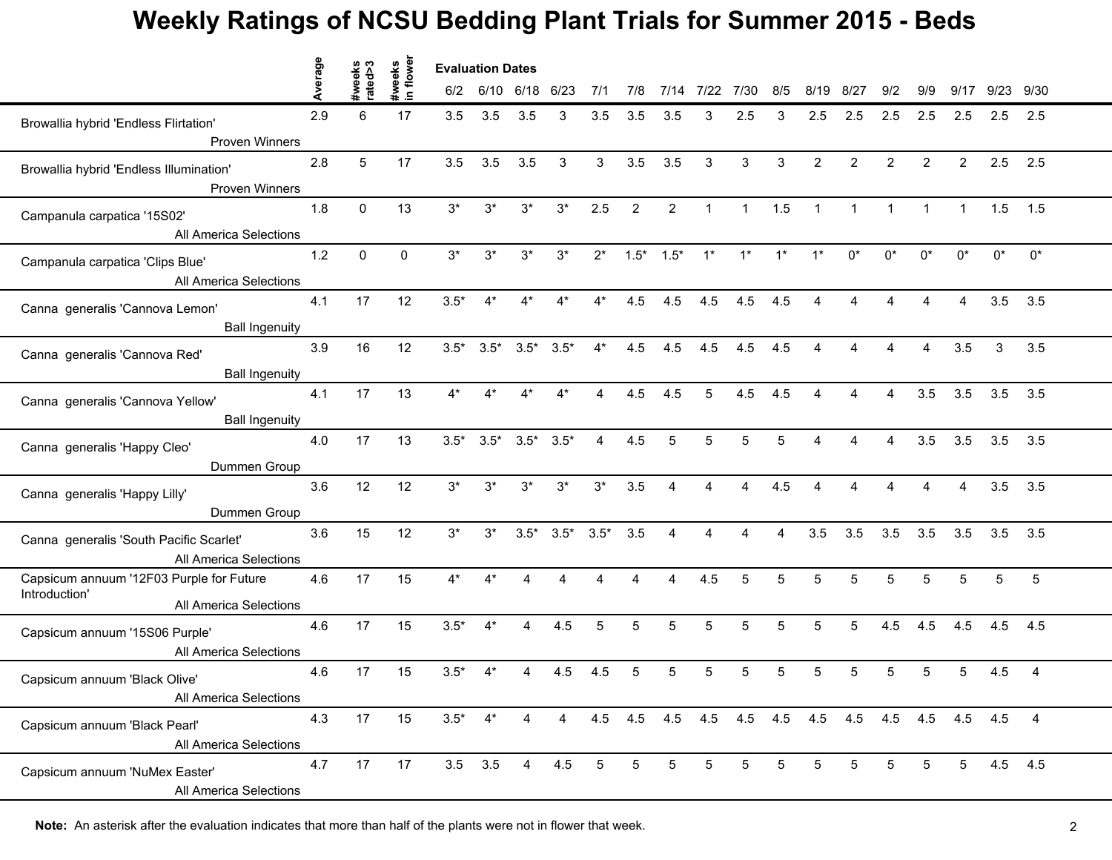|                                                                   | erage | s <ps<br>syes</ps<br> | #weeks<br>in flower | <b>Evaluation Dates</b> |                |                 |        |        |     |                 |              |              |                         |                         |                         |                |                |                |             |                 |  |
|-------------------------------------------------------------------|-------|-----------------------|---------------------|-------------------------|----------------|-----------------|--------|--------|-----|-----------------|--------------|--------------|-------------------------|-------------------------|-------------------------|----------------|----------------|----------------|-------------|-----------------|--|
|                                                                   | ∢     | 흓                     |                     | 6/2                     |                | 6/10 6/18 6/23  |        | 7/1    | 7/8 | 7/14            | 7/22         | 7/30         | 8/5                     | 8/19                    | 8/27                    | 9/2            | 9/9            | 9/17           | 9/23 9/30   |                 |  |
| Browallia hybrid 'Endless Flirtation'                             | 2.9   | 6                     | 17                  | 3.5                     | 3.5            | 3.5             | 3      | 3.5    | 3.5 | 3.5             | 3            | 2.5          | 3                       | 2.5                     | 2.5                     | 2.5            | 2.5            | 2.5            | 2.5         | 2.5             |  |
| <b>Proven Winners</b>                                             |       |                       |                     |                         |                |                 |        |        |     |                 |              |              |                         |                         |                         |                |                |                |             |                 |  |
| Browallia hybrid 'Endless Illumination'<br><b>Proven Winners</b>  | 2.8   | 5                     | 17                  | 3.5                     | 3.5            | 3.5             | 3      | 3      | 3.5 | 3.5             | $\mathbf{3}$ | $\mathbf{3}$ | 3                       | $\overline{2}$          | $\overline{2}$          | $\overline{2}$ | $\overline{2}$ | $\overline{2}$ | 2.5         | 2.5             |  |
| Campanula carpatica '15S02'                                       | 1.8   | 0                     | 13                  | $3^*$                   | $3^*$          | $3^*$           | $3^*$  | 2.5    | 2   | $\mathbf{2}$    | $\mathbf{1}$ | $\mathbf{1}$ | 1.5                     | $\mathbf{1}$            | $\mathbf{1}$            | $\mathbf 1$    | $\mathbf 1$    | $\mathbf{1}$   | 1.5         | 1.5             |  |
| All America Selections                                            |       |                       |                     |                         |                |                 |        |        |     |                 |              |              |                         |                         |                         |                |                |                |             |                 |  |
| Campanula carpatica 'Clips Blue'<br>All America Selections        | $1.2$ | $\Omega$              | 0                   | $3^*$                   | $3*$           | $3^*$           | $3^*$  | $2^*$  |     | $1.5^*$ $1.5^*$ | $1^*$        | $1^*$        | $1^*$                   | $1^*$                   | $0^*$                   | $0^*$          | $0^*$          | $0^*$          | $0^*$       | $0^*$           |  |
| Canna generalis 'Cannova Lemon'                                   | 4.1   | 17                    | 12                  | $3.5*$                  |                |                 |        |        | 4.5 | 4.5             | 4.5          | 4.5          | 4.5                     |                         |                         |                | ◢              |                | 3.5         | 3.5             |  |
| <b>Ball Ingenuity</b>                                             | 3.9   | 16                    | 12                  |                         |                |                 |        | $4^*$  | 4.5 | 4.5             | 4.5          | 4.5          | 4.5                     | $\overline{\mathbf{A}}$ | $\overline{\mathbf{A}}$ | 4              | 4              | 3.5            |             | 3.5             |  |
| Canna generalis 'Cannova Red'<br><b>Ball Ingenuity</b>            |       |                       |                     | $3.5*$                  | $3.5*$         | $3.5*$          | $3.5*$ |        |     |                 |              |              |                         |                         |                         |                |                |                | 3           |                 |  |
| Canna generalis 'Cannova Yellow'                                  | 4.1   | 17                    | 13                  | $4^*$                   | $4*$           | $4^*$           | $4*$   | 4      | 4.5 | 4.5             | 5            | 4.5          | 4.5                     | 4                       | 4                       | $\overline{4}$ | 3.5            | 3.5            | $3.5$ $3.5$ |                 |  |
| <b>Ball Ingenuity</b>                                             |       |                       |                     |                         |                |                 |        |        |     |                 |              |              |                         |                         |                         |                |                |                |             |                 |  |
| Canna generalis 'Happy Cleo'<br>Dummen Group                      | 4.0   | 17                    | 13                  | $3.5*$                  | $3.5*$         | $3.5^*$ $3.5^*$ |        | 4      | 4.5 | 5               | 5            | 5            | 5                       | Δ                       | 4                       | 4              | 3.5            | 3.5            | 3.5         | 3.5             |  |
| Canna generalis 'Happy Lilly'                                     | 3.6   | 12                    | 12                  | $3^*$                   | $3^*$          | $3^*$           | $3*$   | $3^*$  | 3.5 |                 |              |              | 4.5                     |                         |                         |                |                |                | 3.5         | 3.5             |  |
| Dummen Group                                                      |       |                       |                     |                         |                |                 |        |        |     |                 |              |              |                         |                         |                         |                |                |                |             |                 |  |
| Canna generalis 'South Pacific Scarlet'<br>All America Selections | 3.6   | 15                    | 12                  | $3*$                    | $3^*$          | $3.5*$          | $3.5*$ | $3.5*$ | 3.5 | 4               | 4            | 4            | $\overline{\mathbf{A}}$ | 3.5                     | 3.5                     | 3.5            | 3.5            | 3.5            | 3.5         | 3.5             |  |
| Capsicum annuum '12F03 Purple for Future<br>Introduction'         | 4.6   | 17                    | 15                  | $4^*$                   | $4*$           | 4               |        |        |     | 4               | 4.5          | 5            | 5                       | 5                       | 5                       | 5              | 5              | 5              | 5           | $5\phantom{.0}$ |  |
| All America Selections                                            |       |                       |                     |                         |                |                 |        |        |     |                 |              |              |                         |                         |                         |                |                |                |             |                 |  |
| Capsicum annuum '15S06 Purple'<br>All America Selections          | 4.6   | 17                    | 15                  | $3.5*$                  | $4^*$          | 4               | 4.5    | 5      | 5   | 5               | 5            | 5            | 5                       | 5                       | 5                       | 4.5            | 4.5            | 4.5            | 4.5         | 4.5             |  |
| Capsicum annuum 'Black Olive'<br>All America Selections           | 4.6   | 17                    | 15                  | $3.5*$                  |                |                 | 4.5    | 4.5    |     | 5               |              | 5            | 5                       | 5                       |                         | 5              | 5              | 5              | 4.5         | $\overline{4}$  |  |
|                                                                   |       |                       |                     |                         |                |                 |        |        |     |                 |              |              |                         |                         |                         |                |                |                |             |                 |  |
| Capsicum annuum 'Black Pearl'<br>All America Selections           | 4.3   | 17                    | 15                  | $3.5*$                  | $4^*$          | 4               | 4      |        |     |                 |              |              |                         |                         |                         |                |                |                |             |                 |  |
| Capsicum annuum 'NuMex Easter'<br>All America Selections          | 4.7   | 17                    | 17                  |                         | $3.5\quad 3.5$ | $\overline{4}$  | 4.5    | 5      | 5   | 5               | 5            | 5            | 5                       | 5                       | 5                       | 5              | 5              | 5              | 4.5 4.5     |                 |  |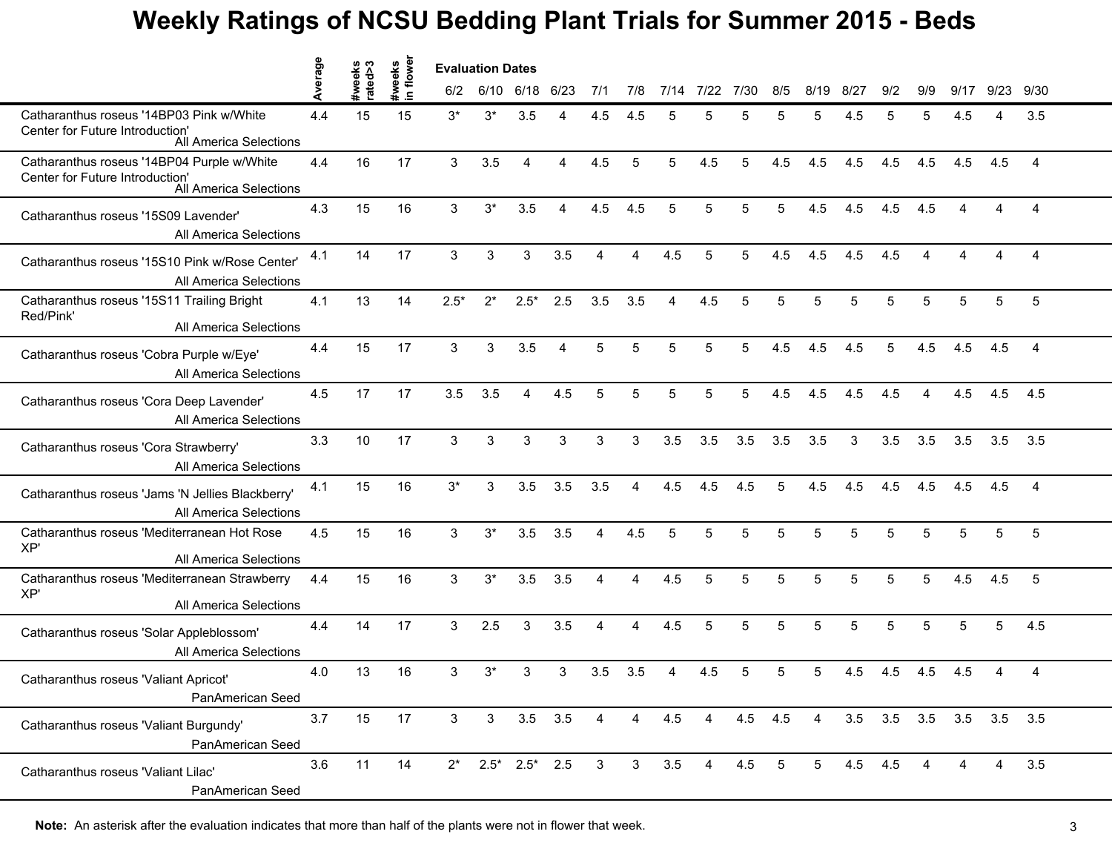|                                                                                                         | verage | #weeks<br>rated>3 | flower<br>weeks |                | <b>Evaluation Dates</b> |             |                |                         |                |      |      |      |         |                |         |     |     |      |                         |                |  |
|---------------------------------------------------------------------------------------------------------|--------|-------------------|-----------------|----------------|-------------------------|-------------|----------------|-------------------------|----------------|------|------|------|---------|----------------|---------|-----|-----|------|-------------------------|----------------|--|
|                                                                                                         |        |                   | $\blacksquare$  | 6/2            | 6/10 6/18               |             | 6/23           | 7/1                     | 7/8            | 7/14 | 7/22 | 7/30 | 8/5     | 8/19           | 8/27    | 9/2 | 9/9 | 9/17 | 9/23                    | 9/30           |  |
| Catharanthus roseus '14BP03 Pink w/White<br>Center for Future Introduction'<br>All America Selections   | 4.4    | 15                | 15              | $3^*$          | $3^*$                   | 3.5         |                | 4.5                     | 4.5            | 5    |      | 5    | 5       | 5              | 4.5     | 5   | 5   | 4.5  |                         | 3.5            |  |
| Catharanthus roseus '14BP04 Purple w/White<br>Center for Future Introduction'<br>All America Selections | 4.4    | 16                | 17              | $\mathbf{3}$   | 3.5                     | 4           | 4              | 4.5                     | 5              | 5    | 4.5  | 5    | 4.5     | 4.5            | 4.5     | 4.5 | 4.5 | 4.5  | 4.5                     | $\overline{4}$ |  |
| Catharanthus roseus '15S09 Lavender'<br>All America Selections                                          | 4.3    | 15                | 16              | 3              | $3^*$                   | 3.5         | 4              | 4.5                     | 4.5            | 5    | 5    | 5    | 5       | 4.5            | 4.5     | 4.5 | 4.5 | 4    | 4                       | 4              |  |
| Catharanthus roseus '15S10 Pink w/Rose Center'<br>All America Selections                                | 4.1    | 14                | 17              | 3              | 3                       | 3           | 3.5            | 4                       | 4              | 4.5  | 5    | 5    | 4.5     | 4.5            | 4.5     | 4.5 | 4   |      |                         | 4              |  |
| Catharanthus roseus '15S11 Trailing Bright<br>Red/Pink'<br>All America Selections                       | 4.1    | 13                | 14              | $2.5*$         | $2^*$                   | $2.5*$      | 2.5            | 3.5                     | 3.5            | Δ    | 4.5  | 5    | 5       | 5              |         | 5   | 5   | 5    | 5                       | 5              |  |
| Catharanthus roseus 'Cobra Purple w/Eye'<br>All America Selections                                      | 4.4    | 15                | 17              | $\mathbf{3}$   | 3                       | 3.5         | $\overline{4}$ | 5                       | 5              | 5    | 5    | 5    | 4.5     | 4.5            | 4.5     | 5   | 4.5 | 4.5  | 4.5                     | $\overline{4}$ |  |
| Catharanthus roseus 'Cora Deep Lavender'<br>All America Selections                                      | 4.5    | 17                | 17              | 3.5            | 3.5                     | 4           | 4.5            | 5                       | 5              | 5    | 5    | 5    | 4.5     | 4.5            | 4.5     | 4.5 | 4   | 4.5  | 4.5                     | 4.5            |  |
| Catharanthus roseus 'Cora Strawberry'<br>All America Selections                                         | 3.3    | 10                | 17              | 3              | 3                       | 3           | 3              | 3                       | 3              | 3.5  | 3.5  | 3.5  | 3.5     | 3.5            | 3       | 3.5 | 3.5 | 3.5  | 3.5                     | 3.5            |  |
| Catharanthus roseus 'Jams 'N Jellies Blackberry'<br>All America Selections                              | 4.1    | 15                | 16              | $3^*$          | 3                       | 3.5         | 3.5            | 3.5                     | 4              | 4.5  | 4.5  | 4.5  | 5       | 4.5            | 4.5     | 4.5 | 4.5 | 4.5  | 4.5                     | 4              |  |
| Catharanthus roseus 'Mediterranean Hot Rose<br>XP'<br>All America Selections                            | 4.5    | 15                | 16              | 3              | $3^*$                   | 3.5         | 3.5            | 4                       | 4.5            | 5    | 5    | 5    | 5       | 5              | 5       | 5   | 5   | 5    | 5                       | 5              |  |
| Catharanthus roseus 'Mediterranean Strawberry<br>XP'<br>All America Selections                          | 4.4    | 15                | 16              | 3              | $3^*$                   | 3.5         | 3.5            | 4                       | 4              | 4.5  | 5    | 5    | 5       | 5              | 5       | 5   | 5   | 4.5  | 4.5                     | 5              |  |
| Catharanthus roseus 'Solar Appleblossom'<br>All America Selections                                      | 4.4    | 14                | 17              | 3              | 2.5                     | 3           | 3.5            | 4                       | 4              | 4.5  | 5    | 5    | 5       | 5              | 5       | 5   | 5   | 5    | 5                       | 4.5            |  |
| Catharanthus roseus 'Valiant Apricot'<br>PanAmerican Seed                                               | 4.0    | 13                | 16              | 3              | $3^*$                   | 3           | 3              | 3.5                     | 3.5            |      | 4.5  | 5    | 5       | 5              | 4.5     | 4.5 | 4.5 | 4.5  |                         | 4              |  |
| Catharanthus roseus 'Valiant Burgundy'<br>PanAmerican Seed                                              | 3.7    | 15                | 17              | 3 <sup>1</sup> | 3 <sup>1</sup>          | $3.5$ $3.5$ |                | 4                       | $\overline{4}$ | 4.5  | 4    |      | 4.5 4.5 | $\overline{4}$ |         |     |     |      | 3.5 3.5 3.5 3.5 3.5 3.5 |                |  |
| Catharanthus roseus 'Valiant Lilac'<br>PanAmerican Seed                                                 | 3.6    | 11                | 14              |                | $2^*$ 2.5* 2.5* 2.5     |             |                | $\overline{\mathbf{3}}$ | 3 <sup>1</sup> | 3.5  | 4    | 4.5  | 5       | 5 <sup>5</sup> | 4.5 4.5 |     | 4   |      | 4                       | 3.5            |  |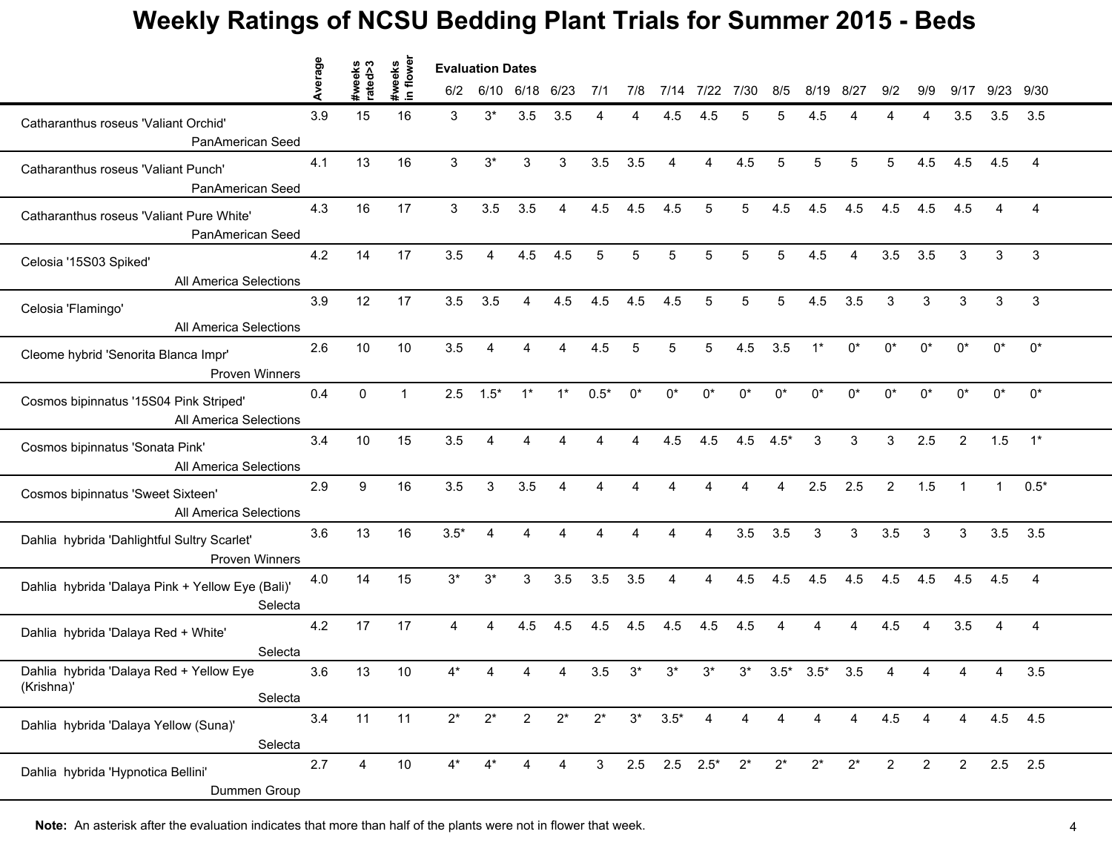|                                                                      | erage | eeks<br>ed>3   | #weeks<br>in flower | <b>Evaluation Dates</b> |                |                         |                |                |       |                     |                |       |               |         |       |                |                |                |           |                |  |
|----------------------------------------------------------------------|-------|----------------|---------------------|-------------------------|----------------|-------------------------|----------------|----------------|-------|---------------------|----------------|-------|---------------|---------|-------|----------------|----------------|----------------|-----------|----------------|--|
|                                                                      |       | ate            |                     | 6/2                     |                | 6/10 6/18 6/23          |                | 7/1            | 7/8   | 7/14                | 7/22           | 7/30  | 8/5           | 8/19    | 8/27  | 9/2            | 9/9            | 9/17           | 9/23 9/30 |                |  |
| Catharanthus roseus 'Valiant Orchid'<br>PanAmerican Seed             | 3.9   | 15             | 16                  | 3                       | $3^*$          | 3.5                     | 3.5            |                |       | 4.5                 |                |       | 5             | 4.5     |       |                | 4              | 3.5            | 3.5       | 3.5            |  |
| Catharanthus roseus 'Valiant Punch'<br>PanAmerican Seed              | 4.1   | 13             | 16                  | 3                       | $3^*$          | 3                       | 3              | 3.5            | 3.5   | 4                   | $\overline{4}$ | 4.5   | 5             | 5       | 5     | 5              | 4.5            | 4.5            | 4.5       | $\overline{4}$ |  |
| Catharanthus roseus 'Valiant Pure White'<br>PanAmerican Seed         | 4.3   | 16             | 17                  | 3                       | 3.5            | 3.5                     | $\overline{4}$ | 4.5            | 4.5   | 4.5                 | 5              | 5     | 4.5           | 4.5     | 4.5   | 4.5            | 4.5            | 4.5            |           | 4              |  |
| Celosia '15S03 Spiked'<br>All America Selections                     | 4.2   | 14             | 17                  | 3.5                     | $\overline{4}$ | 4.5                     | 4.5            | 5              | 5     | 5                   | 5              | 5     | 5             | 4.5     | 4     | 3.5            | 3.5            | 3              | 3         | 3              |  |
| Celosia 'Flamingo'<br>All America Selections                         | 3.9   | 12             | 17                  | 3.5                     | 3.5            | 4                       | 4.5            | 4.5            | 4.5   | 4.5                 | 5              | 5     | 5             | 4.5     | 3.5   | 3              | 3              | 3              | 3         | 3              |  |
| Cleome hybrid 'Senorita Blanca Impr'<br><b>Proven Winners</b>        | 2.6   | 10             | 10                  | 3.5                     | $\overline{4}$ | 4                       | $\overline{4}$ | 4.5            | 5     | 5                   | 5              | 4.5   | 3.5           | $1^*$   | $0^*$ | $0^*$          | $0^*$          | $0^*$          | $0^*$     | $0^*$          |  |
| Cosmos bipinnatus '15S04 Pink Striped'<br>All America Selections     | 0.4   | $\mathbf 0$    | $\mathbf{1}$        |                         | $2.5$ $1.5^*$  | $1^*$                   | $1^*$          | $0.5*$         | $0^*$ | 0*                  | $0^*$          | $0^*$ | $0^*$         | $0^*$   | $0^*$ | $0^*$          | $0^*$          | $0^*$          | $0^*$     | $0^*$          |  |
| Cosmos bipinnatus 'Sonata Pink'<br>All America Selections            | 3.4   | 10             | 15                  | 3.5                     | $\overline{4}$ | 4                       | 4              | 4              | 4     | 4.5                 | 4.5            |       | $4.5$ $4.5^*$ | 3       | 3     | 3              | 2.5            | $\overline{2}$ | 1.5       | $1^*$          |  |
| Cosmos bipinnatus 'Sweet Sixteen'<br>All America Selections          | 2.9   | 9              | 16                  | 3.5                     | 3              | 3.5                     | 4              |                |       |                     |                |       |               | 2.5     | 2.5   | $\overline{2}$ | 1.5            |                |           | $0.5*$         |  |
| Dahlia hybrida 'Dahlightful Sultry Scarlet'<br><b>Proven Winners</b> | 3.6   | 13             | 16                  | $3.5*$                  | $\overline{4}$ | $\overline{\mathbf{A}}$ | 4              | 4              | 4     | 4                   | 4              | 3.5   | 3.5           | 3       | 3     | 3.5            | 3              | 3              | 3.5       | 3.5            |  |
| Dahlia hybrida 'Dalaya Pink + Yellow Eye (Bali)'<br>Selecta          | 4.0   | 14             | 15                  | $3^*$                   | $3^*$          | 3                       | 3.5            | 3.5            | 3.5   | 4                   | $\overline{4}$ | 4.5   | 4.5           | 4.5     | 4.5   | 4.5            | 4.5            | 4.5            | 4.5       | $\overline{4}$ |  |
| Dahlia hybrida 'Dalaya Red + White'<br>Selecta                       | 4.2   | 17             | 17                  | $\overline{4}$          | 4              | 4.5                     | 4.5            | 4.5            | 4.5   | 4.5                 | 4.5            | 4.5   | 4             | 4       | 4     | 4.5            | 4              | 3.5            | 4         | $\overline{4}$ |  |
| Dahlia hybrida 'Dalaya Red + Yellow Eye<br>(Krishna)'<br>Selecta     | 3.6   | 13             | 10                  | 4*                      |                |                         |                | 3.5            | $3^*$ | $3^*$               | $3^*$          | $3^*$ | $3.5*$        | $3.5^*$ | 3.5   |                |                |                |           | 3.5            |  |
| Dahlia hybrida 'Dalaya Yellow (Suna)'<br>Selecta                     | 3.4   | 11             | 11                  | $2^*$                   | $2^*$          | $\overline{2}$          | $2^*$          | $2^*$          | $3^*$ | $3.5*$              | 4              | 4     | 4             | 4       | 4     | 4.5            | 4              | 4              |           | 4.5 4.5        |  |
| Dahlia hybrida 'Hypnotica Bellini'<br>Dummen Group                   | 2.7   | $\overline{4}$ | 10                  | 4*                      |                | 4                       | 4              | 3 <sup>1</sup> |       | $2.5$ $2.5$ $2.5^*$ |                | $2^*$ | $2^*$         | $2^*$   | $2^*$ | $\overline{2}$ | $\overline{2}$ | $\overline{2}$ | $2.5$ 2.5 |                |  |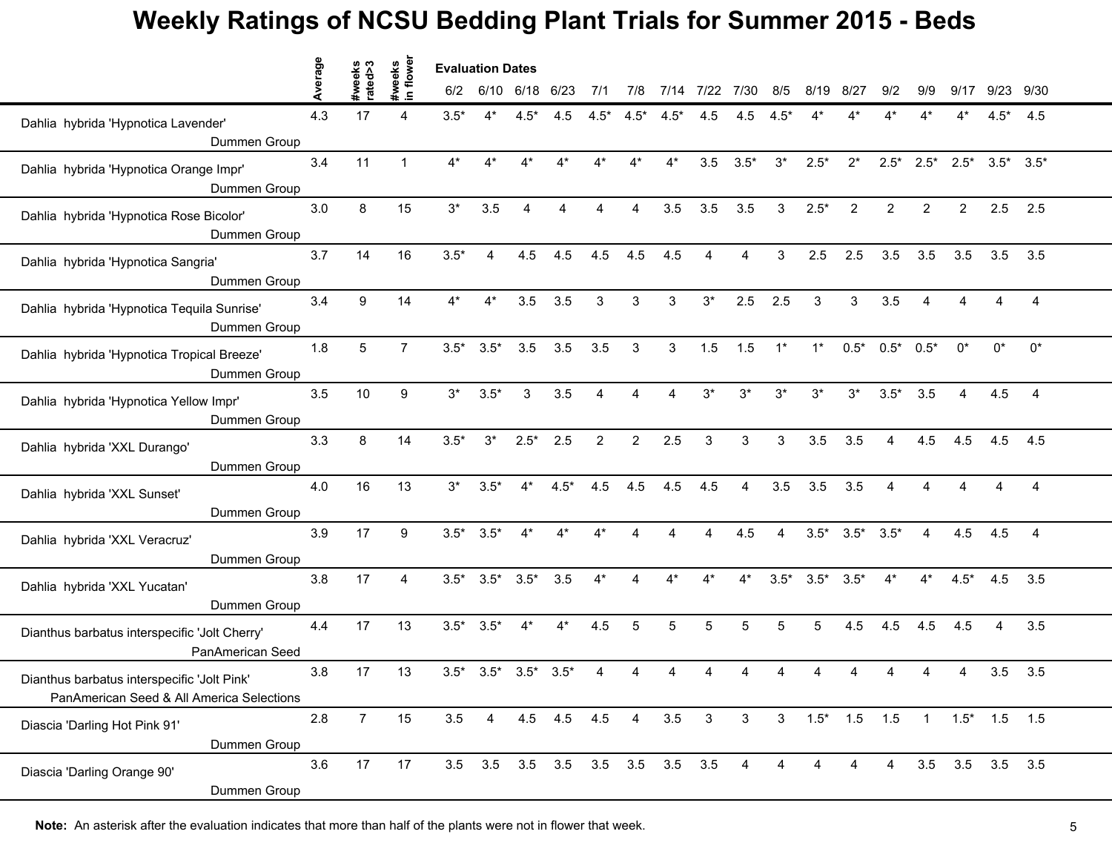|                                                                                          | erage | weeks<br>ated>3 | #weeks<br>in flower | <b>Evaluation Dates</b> |                 |                |               |                |                |                                 |              |                |                |                 |                         |                |                |                |                         |                |
|------------------------------------------------------------------------------------------|-------|-----------------|---------------------|-------------------------|-----------------|----------------|---------------|----------------|----------------|---------------------------------|--------------|----------------|----------------|-----------------|-------------------------|----------------|----------------|----------------|-------------------------|----------------|
|                                                                                          |       |                 |                     | 6/2                     |                 | 6/10 6/18 6/23 |               | 7/1            | 7/8            | 7/14                            | 7/22         | 7/30           | 8/5            | 8/19            | 8/27                    | 9/2            | 9/9            | 9/17           | 9/23                    | 9/30           |
| Dahlia hybrida 'Hypnotica Lavender'<br>Dummen Group                                      | 4.3   | 17              |                     | $3.5*$                  | 4*              | $4.5*$         | 4.5           | $4.5*$         | $4.5*$         | $4.5*$                          | 4.5          | 4.5            | .5*            |                 |                         |                |                |                | $4.5*$                  | 4.5            |
| Dahlia hybrida 'Hypnotica Orange Impr'<br>Dummen Group                                   | 3.4   | 11              | $\mathbf{1}$        | $4^*$                   | $4^*$           | 4*             | $4^*$         | 4*             | $4^*$          | $4^*$                           | 3.5          | $3.5*$         | $3^*$          | $2.5*$          | $2^*$                   | $2.5*$         | $2.5*$         | $2.5^*$        | $3.5^*$ $3.5^*$         |                |
| Dahlia hybrida 'Hypnotica Rose Bicolor'<br>Dummen Group                                  | 3.0   | 8               | 15                  | $3^{\star}$             | 3.5             | 4              |               | 4              | 4              | 3.5                             | 3.5          | 3.5            | 3              | $2.5*$          | 2                       | $\overline{2}$ | $\overline{2}$ | $\overline{2}$ | 2.5                     | 2.5            |
| Dahlia hybrida 'Hypnotica Sangria'<br>Dummen Group                                       | 3.7   | 14              | 16                  | $3.5*$                  | 4               | 4.5            | 4.5           | 4.5            | 4.5            | 4.5                             |              | 4              | 3              | 2.5             | 2.5                     | 3.5            | 3.5            | 3.5            | 3.5                     | 3.5            |
| Dahlia hybrida 'Hypnotica Tequila Sunrise'<br>Dummen Group                               | 3.4   | 9               | 14                  | 4*                      | $4*$            | 3.5            | 3.5           | 3              | 3              | 3                               | $3^*$        | 2.5            | 2.5            | 3               | 3                       | 3.5            | 4              |                |                         | 4              |
| Dahlia hybrida 'Hypnotica Tropical Breeze'<br>Dummen Group                               | 1.8   | 5               | $\overline{7}$      | $3.5*$                  | $3.5*$          | 3.5            | 3.5           | 3.5            | $\mathbf{3}$   | 3                               | 1.5          | 1.5            | $1^*$          | $1^*$           | $0.5*$                  | $0.5^*$ 0.5*   |                | $0^*$          | $0^*$                   | $0^*$          |
| Dahlia hybrida 'Hypnotica Yellow Impr'<br>Dummen Group                                   | 3.5   | 10              | 9                   | $3^*$                   | $3.5*$          | 3              | 3.5           | 4              | 4              | 4                               | $3^*$        | $3^*$          | $3^*$          | $3^*$           | $3^*$                   | $3.5*$         | 3.5            | 4              | 4.5                     | 4              |
| Dahlia hybrida 'XXL Durango'<br>Dummen Group                                             | 3.3   | 8               | 14                  | $3.5*$                  | $3^*$           | $2.5*$         | 2.5           | $\overline{2}$ | $\overline{2}$ | 2.5                             | 3            | 3              | 3              | 3.5             | 3.5                     | $\overline{4}$ | 4.5            | 4.5            | 4.5                     | 4.5            |
| Dahlia hybrida 'XXL Sunset'<br>Dummen Group                                              | 4.0   | 16              | 13                  | $3^*$                   | $3.5*$          |                | $4.5*$        | 4.5            | 4.5            | 4.5                             | 4.5          |                | 3.5            | 3.5             | 3.5                     |                |                |                |                         | 4              |
| Dahlia hybrida 'XXL Veracruz'<br>Dummen Group                                            | 3.9   | 17              | 9                   | $3.5*$                  | $3.5*$          | $4^*$          | $4^*$         | $4^*$          | 4              |                                 | 4            | 4.5            | $\overline{4}$ |                 | $3.5^*$ $3.5^*$ $3.5^*$ |                | $\overline{4}$ | 4.5            | 4.5                     | $\overline{4}$ |
| Dahlia hybrida 'XXL Yucatan'<br>Dummen Group                                             | 3.8   | 17              | 4                   |                         | $3.5^*$ $3.5^*$ | $3.5*$         | 3.5           | $4^*$          | 4              |                                 |              | $4^*$          | $3.5*$         | $3.5^*$ $3.5^*$ |                         | $4^*$          | $4^*$          | $4.5*$         | 4.5                     | 3.5            |
| Dianthus barbatus interspecific 'Jolt Cherry'<br>PanAmerican Seed                        | 4.4   | 17              | 13                  | $3.5*$                  | $3.5*$          | $4^*$          | $4^*$         | 4.5            | 5              | 5                               | 5            | 5              | 5              | 5               | 4.5                     | 4.5            | 4.5            | 4.5            | 4                       | 3.5            |
| Dianthus barbatus interspecific 'Jolt Pink'<br>PanAmerican Seed & All America Selections | 3.8   | 17              | 13                  | $3.5*$                  | $3.5*$          | $3.5*$         | $3.5*$        |                |                |                                 |              |                |                |                 |                         |                |                |                | 3.5                     | 3.5            |
| Diascia 'Darling Hot Pink 91'<br>Dummen Group                                            | 2.8   | $\overline{7}$  | 15                  | 3.5                     | $\overline{4}$  |                | 4.5 4.5 4.5 4 |                |                | 3.5                             | $\mathbf{3}$ | 3 <sup>1</sup> |                |                 | $3$ $1.5^*$ $1.5$ $1.5$ |                |                |                | $1 \t1.5^* \t1.5 \t1.5$ |                |
| Diascia 'Darling Orange 90'<br>Dummen Group                                              | 3.6   | 17              | 17                  |                         |                 |                |               |                |                | 3.5 3.5 3.5 3.5 3.5 3.5 3.5 3.5 |              | 4              | 4              | 4               |                         | 4              |                |                | 3.5 3.5 3.5 3.5         |                |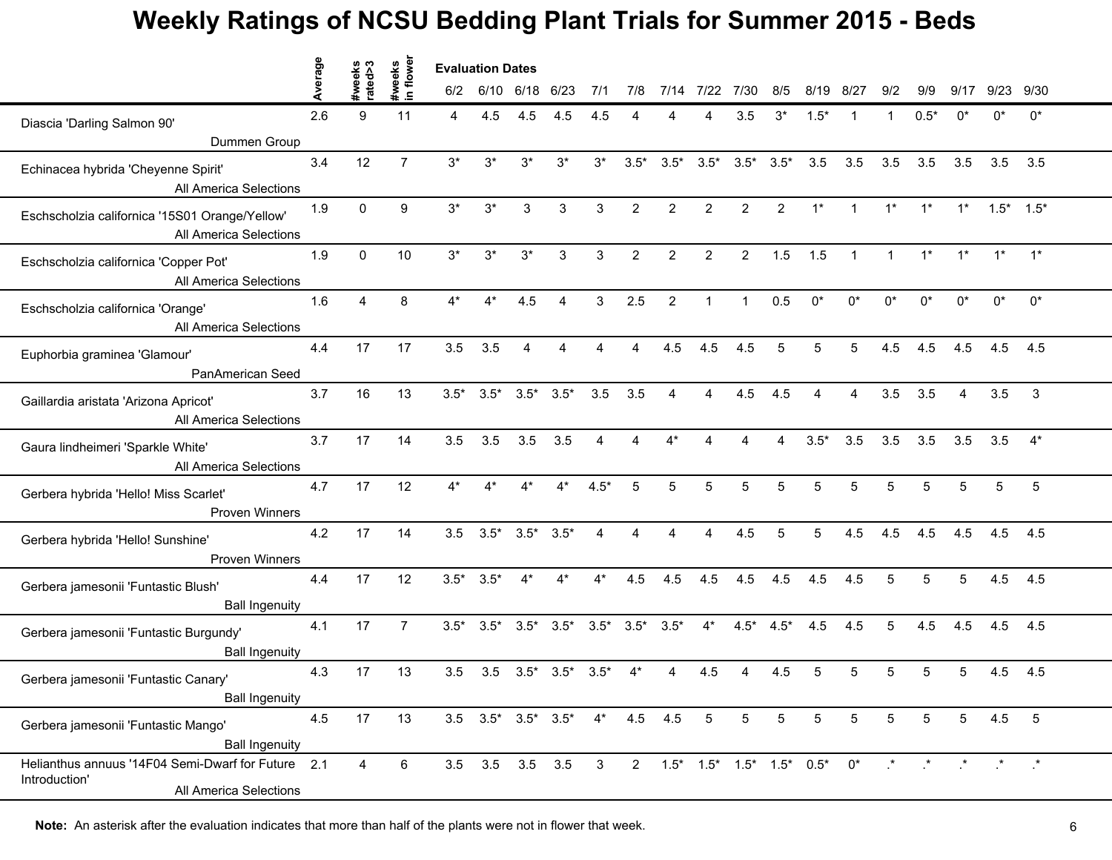|                                                                                               | erage | reeks<br>ted>3 | in flower<br>#weeks | <b>Evaluation Dates</b> |                 |                 |                                                 |                |                         |                                 |                |                         |                 |                |              |              |                 |                         |                 |              |
|-----------------------------------------------------------------------------------------------|-------|----------------|---------------------|-------------------------|-----------------|-----------------|-------------------------------------------------|----------------|-------------------------|---------------------------------|----------------|-------------------------|-----------------|----------------|--------------|--------------|-----------------|-------------------------|-----------------|--------------|
|                                                                                               |       |                |                     | 6/2                     |                 | 6/10 6/18 6/23  |                                                 | 7/1            | 7/8                     | 7/14                            | 7/22           | 7/30                    | 8/5             | 8/19           | 8/27         | 9/2          | 9/9             | 9/17                    | 9/23            | 9/30         |
| Diascia 'Darling Salmon 90'                                                                   | 2.6   | 9              | 11                  | 4                       | 4.5             | 4.5             | 4.5                                             | 4.5            |                         |                                 |                | 3.5                     | $3^*$           | $1.5*$         |              |              | $0.5*$          | ሰ*                      | n*              | $0^*$        |
| Dummen Group                                                                                  |       |                |                     |                         |                 |                 |                                                 |                |                         |                                 |                |                         |                 |                |              |              |                 |                         |                 |              |
| Echinacea hybrida 'Cheyenne Spirit'<br>All America Selections                                 | 3.4   | 12             | $\overline{7}$      | $3^*$                   | $3^*$           | $3^*$           | $3^*$                                           | $3^*$          | $3.5*$                  | $3.5*$                          |                | $3.5^*$ $3.5^*$ $3.5^*$ |                 | 3.5            | 3.5          | 3.5          | 3.5             | 3.5                     | 3.5             | 3.5          |
| Eschscholzia californica '15S01 Orange/Yellow'<br>All America Selections                      | 1.9   | $\mathbf{0}$   | 9                   | $3^*$                   | $3^*$           | 3               | 3                                               | 3              | $\overline{2}$          | $\overline{2}$                  | $\overline{2}$ | $\overline{2}$          | $\overline{2}$  | $1^*$          | $\mathbf{1}$ | $1^*$        | $1^*$           | $1^*$                   | $1.5^*$ $1.5^*$ |              |
| Eschscholzia californica 'Copper Pot'<br>All America Selections                               | 1.9   | $\mathbf 0$    | 10                  | $3^*$                   | $3^*$           | $3^*$           | 3                                               | 3              | $\overline{2}$          | $\overline{2}$                  | $\overline{2}$ | $2^{\circ}$             | 1.5             | 1.5            | $\mathbf{1}$ | $\mathbf{1}$ | $1^*$           | $1^*$                   | $1^*$           | $1^*$        |
| Eschscholzia californica 'Orange'<br>All America Selections                                   | 1.6   | 4              | 8                   | $4*$                    |                 | 4.5             |                                                 | 3              | 2.5                     | 2                               |                | 1                       | 0.5             | $^{\circ}$     | n*           | n*           | n*              |                         | $^{\circ}$      | $0^*$        |
| Euphorbia graminea 'Glamour'<br>PanAmerican Seed                                              | 4.4   | 17             | 17                  | 3.5                     | 3.5             | $\overline{4}$  | 4                                               | 4              | $\overline{\mathbf{4}}$ | 4.5                             | 4.5            | 4.5                     | 5               | 5              | 5            | 4.5          | 4.5             | 4.5                     | 4.5             | 4.5          |
| Gaillardia aristata 'Arizona Apricot'<br>All America Selections                               | 3.7   | 16             | 13                  |                         | $3.5^*$ $3.5^*$ | $3.5^*$ $3.5^*$ |                                                 | 3.5            | 3.5                     | 4                               | 4              | 4.5                     | 4.5             | $\overline{4}$ | 4            | 3.5          | 3.5             | $\overline{\mathbf{4}}$ | 3.5             | $\mathbf{3}$ |
| Gaura lindheimeri 'Sparkle White'<br>All America Selections                                   | 3.7   | 17             | 14                  | 3.5                     | 3.5             | 3.5             | 3.5                                             | 4              | 4                       | $4^*$                           |                | ◢                       | 4               | $3.5*$         | 3.5          | 3.5          | 3.5             | 3.5                     | 3.5             | $4^*$        |
| Gerbera hybrida 'Hello! Miss Scarlet'<br><b>Proven Winners</b>                                | 4.7   | 17             | 12                  | 4*                      |                 |                 |                                                 | $4.5*$         |                         | 5                               |                | 5                       | 5               | 5              |              | 5            | 5               | 5                       | 5               | 5            |
| Gerbera hybrida 'Hello! Sunshine'<br>Proven Winners                                           | 4.2   | 17             | 14                  | 3.5                     | $3.5*$          | $3.5^*$ $3.5^*$ |                                                 | $\overline{4}$ | 4                       | 4                               | 4              | 4.5                     | 5               | 5              | 4.5          | 4.5          | 4.5             | 4.5                     | 4.5             | 4.5          |
| Gerbera jamesonii 'Funtastic Blush'<br><b>Ball Ingenuity</b>                                  | 4.4   | 17             | 12                  |                         | $3.5^*$ $3.5^*$ | $4^*$           | $4^*$                                           | $4^*$          | 4.5                     | 4.5                             | 4.5            | 4.5                     | 4.5             | 4.5            | 4.5          | 5            | 5               | 5                       | 4.5             | 4.5          |
| Gerbera jamesonii 'Funtastic Burgundy'<br><b>Ball Ingenuity</b>                               | 4.1   | 17             | $\overline{7}$      | $3.5*$                  | $3.5*$          | $3.5^*$ $3.5^*$ |                                                 | $3.5*$         | $3.5*$                  | $3.5*$                          | $4^*$          |                         | $4.5^*$ $4.5^*$ | 4.5            | 4.5          | 5            | 4.5             | 4.5                     | 4.5             | 4.5          |
| Gerbera jamesonii 'Funtastic Canary'<br><b>Ball Ingenuity</b>                                 | 4.3   | 17             | 13                  | 3.5                     | 3.5             | $3.5^*$ $3.5^*$ |                                                 | $3.5*$         |                         |                                 | 4.5            |                         | 4.5             | 5              |              | 5            | 5               | 5                       | 4.5             | 4.5          |
| Gerbera jamesonii 'Funtastic Mango'<br><b>Ball Ingenuity</b>                                  | 4.5   | 17             | 13                  |                         |                 |                 | $3.5$ $3.5^*$ $3.5^*$ $3.5^*$ $4^*$ $4.5$ $4.5$ |                |                         |                                 | 5              | 5                       | 5               | 5              | 5            | 5            | 5               | 5                       | 4.5             | $-5$         |
| Helianthus annuus '14F04 Semi-Dwarf for Future 2.1<br>Introduction'<br>All America Selections |       | 4              | 6                   |                         | 3.5 3.5 3.5 3.5 |                 |                                                 | $\mathbf{3}$   |                         | $2$ 1.5* 1.5* 1.5* 1.5* 0.5* 0* |                |                         |                 |                |              |              | $\star$ $\star$ |                         | $\star$ $\star$ |              |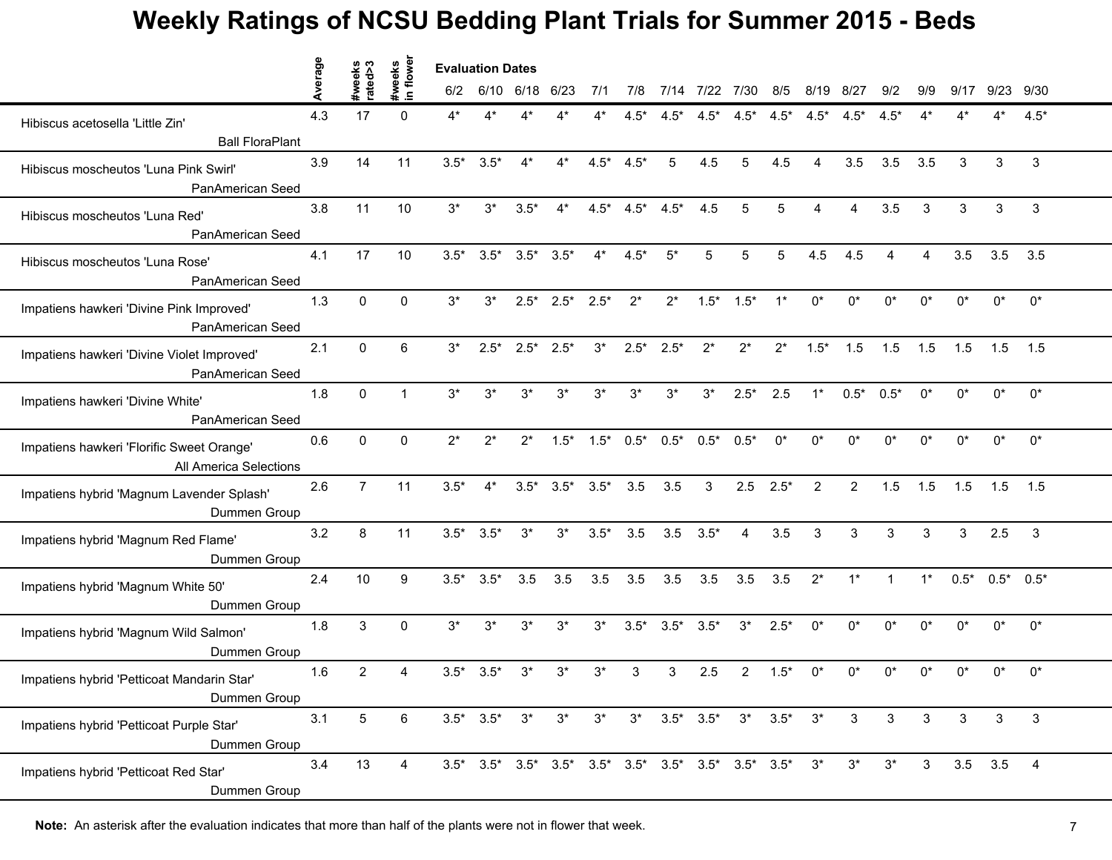|                                                                     | erage | weeks<br>tted>3 | in flower<br>#weeks | <b>Evaluation Dates</b> |                       |                         |                 |        |                 |                                                                                 |                |                  |                 |                |                |              |              |        |              |              |  |
|---------------------------------------------------------------------|-------|-----------------|---------------------|-------------------------|-----------------------|-------------------------|-----------------|--------|-----------------|---------------------------------------------------------------------------------|----------------|------------------|-----------------|----------------|----------------|--------------|--------------|--------|--------------|--------------|--|
|                                                                     |       |                 |                     | 6/2                     |                       | 6/10 6/18 6/23          |                 | 7/1    | 7/8             |                                                                                 | 7/14 7/22 7/30 |                  | 8/5             | 8/19           | 8/27           | 9/2          | 9/9          | 9/17   |              | 9/23 9/30    |  |
| Hibiscus acetosella 'Little Zin'                                    | 4.3   | 17              | $\Omega$            | 4*                      |                       |                         |                 |        | $4.5*$          | $4.5*$                                                                          | $4.5*$         | $4.5*$           | $4.5*$          | $4.5*$         | $4.5*$         |              |              |        |              | $4.5*$       |  |
| <b>Ball FloraPlant</b>                                              |       |                 |                     |                         |                       |                         |                 |        |                 |                                                                                 |                |                  |                 |                |                |              |              |        |              |              |  |
| Hibiscus moscheutos 'Luna Pink Swirl'<br>PanAmerican Seed           | 3.9   | 14              | 11                  | $3.5*$                  | $3.5*$                | $4^*$                   | $4^*$           | $4.5*$ | $4.5*$          | 5                                                                               | 4.5            | 5                | 4.5             | $\overline{4}$ | 3.5            | 3.5          | 3.5          | 3      | 3            | 3            |  |
| Hibiscus moscheutos 'Luna Red'<br>PanAmerican Seed                  | 3.8   | 11              | 10                  | $3^*$                   | $3^*$                 | $3.5*$                  | $4^*$           |        | $4.5^*$ $4.5^*$ | $4.5*$                                                                          | 4.5            | 5                | $5\overline{5}$ | 4              | 4              | 3.5          | 3            | 3      | 3            | 3            |  |
| Hibiscus moscheutos 'Luna Rose'<br>PanAmerican Seed                 | 4.1   | 17              | 10                  | $3.5*$                  |                       | $3.5^*$ $3.5^*$ $3.5^*$ |                 | $4^*$  | $4.5*$          | $5^*$                                                                           | 5              | 5                | 5               | 4.5            | 4.5            | Δ            | 4            | 3.5    | 3.5          | 3.5          |  |
| Impatiens hawkeri 'Divine Pink Improved'<br>PanAmerican Seed        | 1.3   | $\Omega$        | $\Omega$            | $3^*$                   | $3*$                  | $2.5*$                  | $2.5*$          | $2.5*$ | $2^*$           | $2^*$                                                                           | $1.5*$         | $1.5*$           | $1*$            | n*             | n*             | n*           | n*           | n*     | $^{\circ}$   | $0^*$        |  |
| Impatiens hawkeri 'Divine Violet Improved'<br>PanAmerican Seed      | 2.1   | $\mathbf{0}$    | 6                   | $3^*$                   | $2.5*$                | $2.5^*$ 2.5*            |                 | $3^*$  | $2.5*$          | $2.5*$                                                                          | $2^*$          | $2^*$            | $2^*$           | $1.5*$         | 1.5            | 1.5          | 1.5          | 1.5    | 1.5          | 1.5          |  |
| Impatiens hawkeri 'Divine White'<br>PanAmerican Seed                | 1.8   | $\mathbf 0$     | $\mathbf{1}$        | $3^*$                   | $3^*$                 | $3^*$                   | $3^*$           | $3^*$  | $3^*$           | $3^*$                                                                           | $3^*$          | $2.5*$           | 2.5             | $1^*$          | $0.5*$         | $0.5*$       | $0^*$        | $0^*$  | $0^*$        | $0^*$        |  |
| Impatiens hawkeri 'Florific Sweet Orange'<br>All America Selections | 0.6   | $\mathbf{0}$    | $\Omega$            | $2^*$                   | $2^*$                 | $2^*$                   | $1.5*$          |        |                 | $1.5^*$ $0.5^*$ $0.5^*$ $0.5^*$ $0.5^*$                                         |                |                  | $0^*$           | $0^*$          | 0*             | $0^*$        | $0^*$        | 0*     | $0^*$        | $0^*$        |  |
| Impatiens hybrid 'Magnum Lavender Splash'<br>Dummen Group           | 2.6   | $\overline{7}$  | 11                  | $3.5*$                  | $4^*$                 |                         | $3.5^*$ $3.5^*$ | $3.5*$ | 3.5             | 3.5                                                                             | 3              | 2.5              | $2.5*$          | 2              | $\overline{2}$ | 1.5          | 1.5          | 1.5    | 1.5          | 1.5          |  |
| Impatiens hybrid 'Magnum Red Flame'<br>Dummen Group                 | 3.2   | 8               | 11                  | $3.5*$                  | $3.5*$                | $3^*$                   | $3^*$           | $3.5*$ | 3.5             | 3.5                                                                             | $3.5*$         | 4                | 3.5             | 3              | 3              | 3            | 3            | 3      | 2.5          | $\mathbf{3}$ |  |
| Impatiens hybrid 'Magnum White 50'<br>Dummen Group                  | 2.4   | 10              | 9                   | $3.5*$                  | $3.5*$                | 3.5                     | 3.5             | 3.5    | 3.5             | 3.5                                                                             | 3.5            | 3.5              | 3.5             | $2^*$          | $1^*$          | $\mathbf{1}$ | $1^*$        | $0.5*$ | $0.5^*$ 0.5* |              |  |
| Impatiens hybrid 'Magnum Wild Salmon'<br>Dummen Group               | 1.8   | 3               | $\Omega$            | $3^*$                   | $3^*$                 | $3^*$                   | $3^*$           | $3^*$  | $3.5*$          | $3.5*$                                                                          | $3.5*$         | $3^*$            | $2.5*$          | $0^*$          | $0^*$          | $0^*$        | $0^*$        | 0*     | $0^*$        | $0^*$        |  |
| Impatiens hybrid 'Petticoat Mandarin Star'<br>Dummen Group          | 1.6   | $\overline{2}$  |                     | $3.5*$                  | $3.5*$                | 3*                      | $3^*$           | 3*     |                 |                                                                                 | 2.5            | 2                | $1.5*$          | 0*             | n*             |              |              |        | 0*           | $0^*$        |  |
| Impatiens hybrid 'Petticoat Purple Star'<br>Dummen Group            | 3.1   | 5 <sup>5</sup>  | 6                   |                         | $3.5^*$ $3.5^*$ $3^*$ |                         | $3^*$           | $3^*$  |                 | $3^*$ $3.5^*$ $3.5^*$                                                           |                | $3^*$ 3.5* $3^*$ |                 |                | 3              | 3            | 3            | 3      | 3            | 3            |  |
| Impatiens hybrid 'Petticoat Red Star'<br>Dummen Group               | 3.4   | 13              | 4                   |                         |                       |                         |                 |        |                 | $3.5^*$ $3.5^*$ $3.5^*$ $3.5^*$ $3.5^*$ $3.5^*$ $3.5^*$ $3.5^*$ $3.5^*$ $3.5^*$ |                |                  |                 | $3^*$          | $3^*$          | $3^*$        | $\mathbf{3}$ |        | 3.5 3.5 4    |              |  |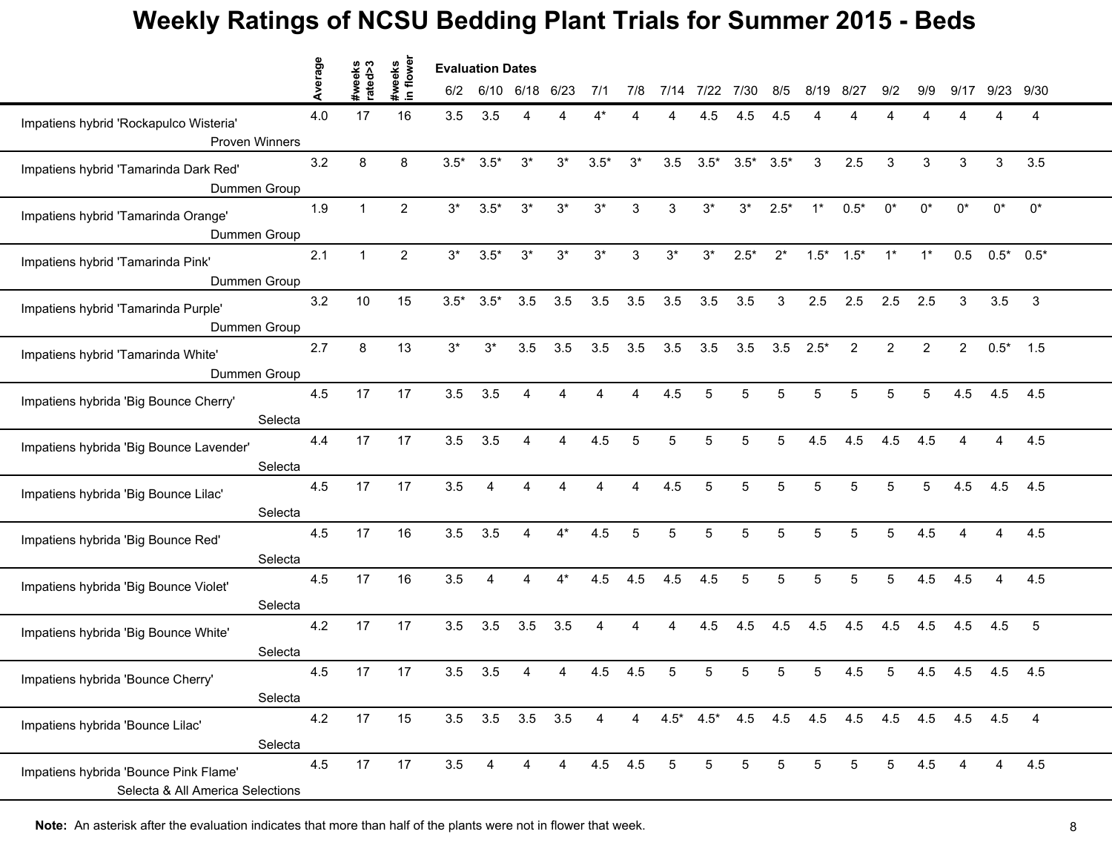|                                                                           | Average |                   | in flower<br>#weeks |        | <b>Evaluation Dates</b> |           |                |         |                |       |        |        |        |                |                                           |                |                |                |              |                |  |
|---------------------------------------------------------------------------|---------|-------------------|---------------------|--------|-------------------------|-----------|----------------|---------|----------------|-------|--------|--------|--------|----------------|-------------------------------------------|----------------|----------------|----------------|--------------|----------------|--|
|                                                                           |         | #weeks<br>rated>3 |                     | 6/2    | 6/10                    | 6/18 6/23 |                | 7/1     | 7/8            | 7/14  | 7/22   | 7/30   | 8/5    | 8/19           | 8/27                                      | 9/2            | 9/9            | 9/17           | 9/23         | 9/30           |  |
| Impatiens hybrid 'Rockapulco Wisteria'<br><b>Proven Winners</b>           | 4.0     | 17                | 16                  | 3.5    | 3.5                     | Δ         |                |         |                |       | 4.5    | 4.5    | 4.5    |                |                                           |                | Δ              |                | Δ            | 4              |  |
| Impatiens hybrid 'Tamarinda Dark Red'<br>Dummen Group                     | 3.2     | 8                 | 8                   | $3.5*$ | $3.5*$                  | $3^*$     | $3^*$          | $3.5*$  | $3^*$          | 3.5   | $3.5*$ | $3.5*$ | $3.5*$ | 3              | 2.5                                       | 3              | 3              | 3              | 3            | 3.5            |  |
| Impatiens hybrid 'Tamarinda Orange'<br>Dummen Group                       | 1.9     | $\mathbf{1}$      | 2                   | $3^*$  | $3.5*$                  | $3^*$     | $3^*$          | $3^*$   | 3              | 3     | $3^*$  | $3^*$  | $2.5*$ | $1^*$          | $0.5*$                                    | $0^*$          | $0^*$          | ∩*             | $0^*$        | $0^\star$      |  |
| Impatiens hybrid 'Tamarinda Pink'<br>Dummen Group                         | 2.1     | $\mathbf{1}$      | 2                   | $3^*$  | $3.5*$                  | $3^*$     | $3^*$          | $3^*$   | 3              | $3^*$ | $3^*$  | $2.5*$ | $2^*$  |                | $1.5^*$ $1.5^*$                           | $1^*$          | $1^*$          | 0.5            | $0.5^*$ 0.5* |                |  |
| Impatiens hybrid 'Tamarinda Purple'<br>Dummen Group                       | 3.2     | 10                | 15                  | $3.5*$ | $3.5*$                  | 3.5       | 3.5            | 3.5     | 3.5            | 3.5   | 3.5    | 3.5    | 3      | 2.5            | 2.5                                       | 2.5            | 2.5            | 3              | 3.5          | $\mathbf{3}$   |  |
| Impatiens hybrid 'Tamarinda White'<br>Dummen Group                        | 2.7     | 8                 | 13                  | $3^*$  | $3^{\ast}$              | 3.5       | 3.5            | 3.5     | 3.5            | 3.5   | 3.5    | 3.5    | 3.5    | $2.5*$         | $\overline{2}$                            | $\overline{2}$ | $\overline{2}$ | $\overline{2}$ | $0.5*$       | 1.5            |  |
| Impatiens hybrida 'Big Bounce Cherry'<br>Selecta                          | 4.5     | 17                | 17                  | 3.5    | 3.5                     | 4         | 4              | 4       | $\overline{4}$ | 4.5   | 5      | 5      | 5      | 5              | 5                                         | 5              | 5              | 4.5            | 4.5          | 4.5            |  |
| Impatiens hybrida 'Big Bounce Lavender'<br>Selecta                        | 4.4     | 17                | 17                  | 3.5    | 3.5                     | Δ         | 4              | 4.5     | 5              | 5     | 5      | 5      | 5      | 4.5            | 4.5                                       | 4.5            | 4.5            |                | 4            | 4.5            |  |
| Impatiens hybrida 'Big Bounce Lilac'<br>Selecta                           | 4.5     | 17                | 17                  | 3.5    | $\Delta$                |           |                |         |                | 4.5   |        | 5      | 5      | 5              |                                           | 5              | 5              | 4.5            | 4.5          | 4.5            |  |
| Impatiens hybrida 'Big Bounce Red'<br>Selecta                             | 4.5     | 17                | 16                  | 3.5    | 3.5                     | 4         | $4^*$          | 4.5     | 5              | 5     | 5      | 5      | 5      | $\overline{5}$ | 5                                         | 5              | 4.5            | 4              | 4            | 4.5            |  |
| Impatiens hybrida 'Big Bounce Violet'<br>Selecta                          | 4.5     | 17                | 16                  | 3.5    | 4                       | 4         | $4^*$          | 4.5     | 4.5            | 4.5   | 4.5    | 5      | 5      | 5              | 5                                         | 5              | 4.5            | 4.5            | 4            | 4.5            |  |
| Impatiens hybrida 'Big Bounce White'<br>Selecta                           | 4.2     | 17                | 17                  | 3.5    | 3.5                     | 3.5       | 3.5            | 4       | 4              | Δ     | 4.5    | 4.5    | 4.5    | 4.5            | 4.5                                       | 4.5            | 4.5            | 4.5            | 4.5          | 5              |  |
| Impatiens hybrida 'Bounce Cherry'<br>Selecta                              | 4.5     | 17                | 17                  | 3.5    | 3.5                     |           |                | 4.5     | 4.5            |       |        | 5      | 5      | 5              | 4.5                                       | 5              | 4.5            | 4.5            | 4.5          | 4.5            |  |
| Impatiens hybrida 'Bounce Lilac'<br>Selecta                               | 4.2     | 17                | 15                  |        | 3.5 3.5 3.5 3.5         |           |                | 4       | $\overline{4}$ |       |        |        |        |                | 4.5* 4.5* 4.5 4.5 4.5 4.5 4.5 4.5 4.5 4.5 |                |                |                |              | $\overline{4}$ |  |
| Impatiens hybrida 'Bounce Pink Flame'<br>Selecta & All America Selections | 4.5     | 17                | 17                  | 3.5    | $\overline{4}$          | 4         | $\overline{4}$ | 4.5 4.5 |                | 5     | 5      | 5      | 5      | 5              | 5                                         | 5              | 4.5            | 4              | 4            | 4.5            |  |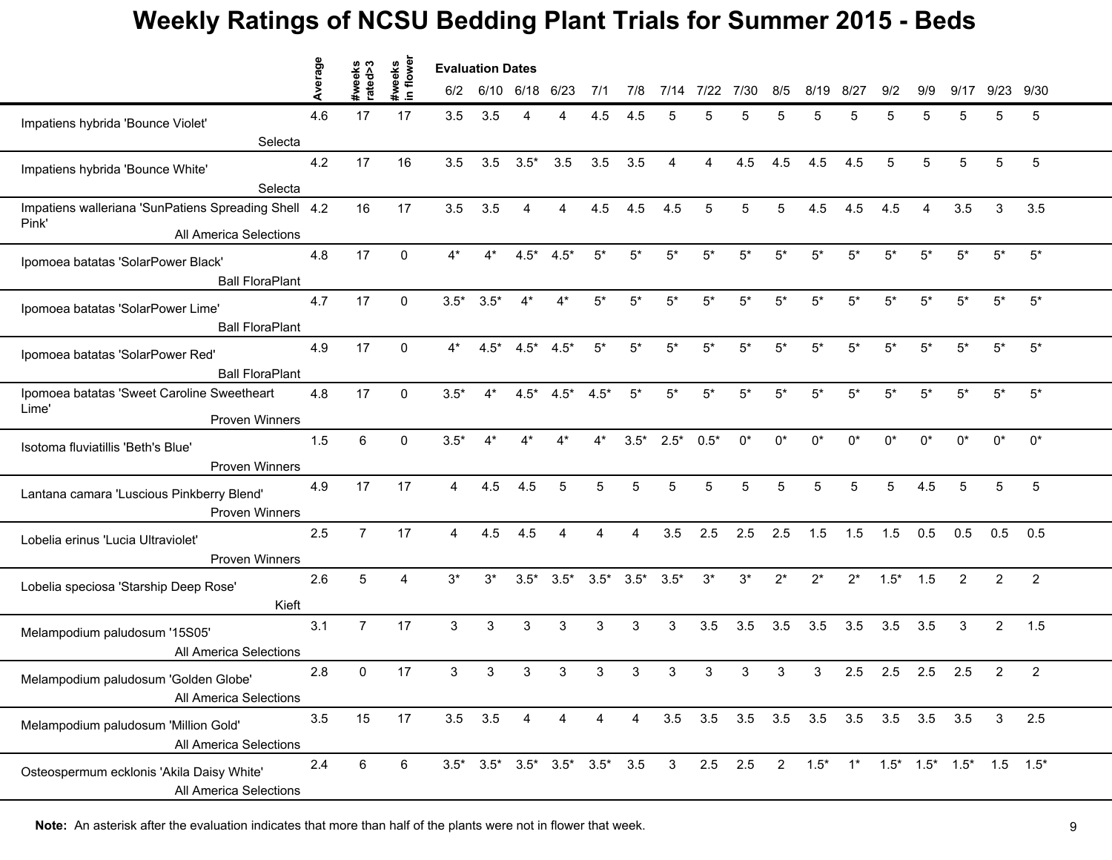|                                                                       | Average | #weeks<br>rated>3 | flower<br>weeks | <b>Evaluation Dates</b> |                |        |        |                 |                |                                                 |           |       |                |                                     |       |        |       |       |                                        |                |  |
|-----------------------------------------------------------------------|---------|-------------------|-----------------|-------------------------|----------------|--------|--------|-----------------|----------------|-------------------------------------------------|-----------|-------|----------------|-------------------------------------|-------|--------|-------|-------|----------------------------------------|----------------|--|
|                                                                       |         |                   | $\blacksquare$  | 6/2                     | 6/10 6/18 6/23 |        |        | 7/1             | 7/8            | 7/14                                            | 7/22      | 7/30  | 8/5            | 8/19                                | 8/27  | 9/2    | 9/9   | 9/17  | 9/23                                   | 9/30           |  |
| Impatiens hybrida 'Bounce Violet'                                     | 4.6     | 17                | 17              | 3.5                     | 3.5            |        |        | 4.5             | 4.5            | 5                                               |           | 5     | 5              | 5                                   | 5     | 5      | 5     | 5     | 5                                      | 5              |  |
| Selecta                                                               |         |                   |                 |                         |                |        |        |                 |                |                                                 |           |       |                |                                     |       |        |       |       |                                        |                |  |
| Impatiens hybrida 'Bounce White'<br>Selecta                           | 4.2     | 17                | 16              | 3.5                     | 3.5            | $3.5*$ | 3.5    | 3.5             | 3.5            | 4                                               | 4         | 4.5   | 4.5            | 4.5                                 | 4.5   | 5      | 5     | 5     | 5                                      | $\sqrt{5}$     |  |
| Impatiens walleriana 'SunPatiens Spreading Shell 4.2<br>Pink'         |         | 16                | 17              | 3.5                     | 3.5            | 4      | 4      | 4.5             | 4.5            | 4.5                                             | 5         | 5     | 5              | 4.5                                 | 4.5   | 4.5    | 4     | 3.5   | 3                                      | 3.5            |  |
| All America Selections                                                |         |                   |                 |                         |                |        |        |                 |                |                                                 |           |       |                |                                     |       |        |       |       |                                        |                |  |
| Ipomoea batatas 'SolarPower Black'<br><b>Ball FloraPlant</b>          | 4.8     | 17                | 0               | 4*                      | $4^*$          | $4.5*$ | $4.5*$ | $5^*$           | $5^*$          | $5*$                                            | $5*$      | $5^*$ | $5^*$          | 5*                                  | $5*$  | $5^*$  | $5*$  | $5*$  | $5*$                                   | $5^{\star}$    |  |
| Ipomoea batatas 'SolarPower Lime'<br><b>Ball FloraPlant</b>           | 4.7     | 17                | $\Omega$        | $3.5*$                  | $3.5*$         | 4*     |        | $5*$            | $5*$           | $5*$                                            | 5*        | $5*$  | 5*             | 5*                                  | $5*$  | 5*     | $5*$  | $5*$  | $5*$                                   | $5^{\star}$    |  |
| Ipomoea batatas 'SolarPower Red'<br><b>Ball FloraPlant</b>            | 4.9     | 17                | $\Omega$        | $4^*$                   | $4.5*$         | $4.5*$ | $4.5*$ | $5^*$           | $5^*$          | $5*$                                            | $5^*$     | $5^*$ | $5^{\star}$    | $5*$                                | $5*$  | $5^*$  | $5^*$ | $5*$  | $5*$                                   | $5^*$          |  |
| Ipomoea batatas 'Sweet Caroline Sweetheart<br>Lime'<br>Proven Winners | 4.8     | 17                | $\Omega$        | $3.5*$                  | $4*$           | $4.5*$ | $4.5*$ | $4.5*$          | $5^*$          | 5*                                              | $5*$      | $5*$  | $5*$           | 5*                                  | $5*$  | 5*     | $5*$  | $5*$  | $5*$                                   | $5^\star$      |  |
| Isotoma fluviatillis 'Beth's Blue'<br><b>Proven Winners</b>           | 1.5     | 6                 | $\Omega$        | $3.5*$                  | $4^*$          | 4*     | $4^*$  | $4^*$           | $3.5*$         | $2.5*$                                          | $0.5*$    | $0^*$ | $0^*$          | $0^*$                               | $0^*$ | $0^*$  | $0^*$ | $0^*$ | $0^*$                                  | $0^*$          |  |
| Lantana camara 'Luscious Pinkberry Blend'<br><b>Proven Winners</b>    | 4.9     | 17                | 17              | 4                       | 4.5            | 4.5    |        | 5               | 5              | 5                                               |           | 5     | 5              | 5                                   | 5     | 5      | 4.5   | 5     | 5                                      | 5              |  |
| Lobelia erinus 'Lucia Ultraviolet'<br>Proven Winners                  | 2.5     | $\overline{7}$    | 17              | $\overline{4}$          | 4.5            | 4.5    | 4      | 4               | 4              | 3.5                                             | 2.5       | 2.5   | 2.5            | 1.5                                 | 1.5   | 1.5    | 0.5   | 0.5   | 0.5                                    | 0.5            |  |
| Lobelia speciosa 'Starship Deep Rose'<br>Kieft                        | 2.6     | 5                 | 4               | $3^*$                   | $3^*$          | $3.5*$ | $3.5*$ | $3.5^*$ $3.5^*$ |                | $3.5*$                                          | $3^*$     | $3^*$ | $2^*$          | $2^*$                               | $2^*$ | $1.5*$ | 1.5   | 2     | $\overline{2}$                         | 2              |  |
| Melampodium paludosum '15S05'<br>All America Selections               | 3.1     | $\overline{7}$    | 17              | 3                       | 3              | 3      | 3      | 3               | 3              | 3                                               | 3.5       | 3.5   | 3.5            | 3.5                                 | 3.5   | 3.5    | 3.5   | 3     | $\overline{2}$                         | 1.5            |  |
| Melampodium paludosum 'Golden Globe'<br>All America Selections        | 2.8     | $\Omega$          | 17              | 3                       | 3              | 3      |        | 3               | 3              | 3                                               | 3         | 3     | 3              | 3                                   | 2.5   | 2.5    | 2.5   | 2.5   | 2                                      | $\overline{2}$ |  |
| Melampodium paludosum 'Million Gold'<br>All America Selections        | 3.5     | 15                | 17              |                         | $3.5$ $3.5$    | 4      | 4      | 4               | $\overline{4}$ |                                                 |           |       |                | 3.5 3.5 3.5 3.5 3.5 3.5 3.5 3.5 3.5 |       |        |       |       | 3                                      | 2.5            |  |
| Osteospermum ecklonis 'Akila Daisy White'<br>All America Selections   | 2.4     | 6                 | 6               |                         |                |        |        |                 |                | $3.5^*$ $3.5^*$ $3.5^*$ $3.5^*$ $3.5^*$ $3.5$ 3 | $2.5$ 2.5 |       | $\overline{2}$ | $1.5*$                              |       |        |       |       | $1*$ $1.5*$ $1.5*$ $1.5*$ $1.5$ $1.5*$ |                |  |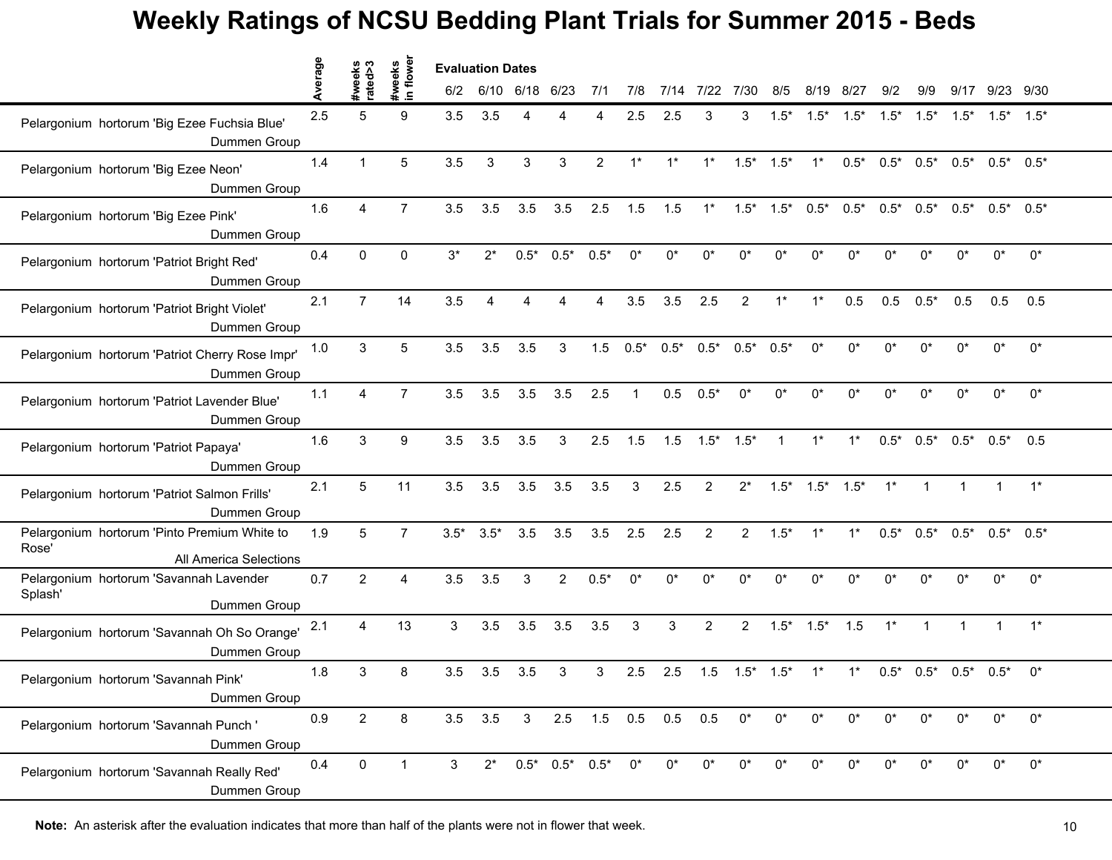|                                                                                 | erage | ო<br>€          | weeks<br>1 flower | <b>Evaluation Dates</b> |        |                |                   |                |              |                               |                 |                 |                |                                 |         |                 |              |            |                 |             |
|---------------------------------------------------------------------------------|-------|-----------------|-------------------|-------------------------|--------|----------------|-------------------|----------------|--------------|-------------------------------|-----------------|-----------------|----------------|---------------------------------|---------|-----------------|--------------|------------|-----------------|-------------|
|                                                                                 |       |                 | $\blacksquare$    | 6/2                     |        | 6/10 6/18 6/23 |                   | 7/1            | 7/8          | 7/14                          | 7/22            | 7/30            | 8/5            | 8/19                            | 8/27    | 9/2             | 9/9          | 9/17       | 9/23 9/30       |             |
| Pelargonium hortorum 'Big Ezee Fuchsia Blue'<br>Dummen Group                    | 2.5   | 5               | 9                 | 3.5                     | 3.5    |                |                   |                | 2.5          | 2.5                           | З               | 3               | $1.5*$         | $1.5*$                          | $1.5^*$ | $1.5^*$ $1.5^*$ |              | $1.5*$     | $1.5^*$ $1.5^*$ |             |
| Pelargonium hortorum 'Big Ezee Neon'<br>Dummen Group                            | 1.4   | $\mathbf{1}$    | 5                 | 3.5                     | 3      | 3              | 3                 | $\overline{2}$ | $1^*$        | $1^*$                         | $1^*$           | $1.5*$          | $1.5*$         | $1^*$                           | $0.5*$  | $0.5^*$ 0.5*    |              | $0.5*$     | $0.5^*$ 0.5*    |             |
| Pelargonium hortorum 'Big Ezee Pink'<br>Dummen Group                            | 1.6   | 4               | $\overline{7}$    | 3.5                     | 3.5    | 3.5            | 3.5               | 2.5            | 1.5          | 1.5                           | $1^*$           |                 |                | $1.5^*$ $1.5^*$ $0.5^*$ $0.5^*$ |         |                 | $0.5^*$ 0.5* | $0.5^*$    | $0.5^*$ 0.5*    |             |
| Pelargonium hortorum 'Patriot Bright Red'<br>Dummen Group                       | 0.4   | $\Omega$        | $\Omega$          | $3^*$                   | $2^*$  | $0.5*$         | $0.5*$            | $0.5*$         | $0^*$        | $0^*$                         | $0^*$           | $0^*$           | 0*             | 0*                              | $0^*$   | $0^*$           | $0^*$        | $0^*$      | $0^*$           | $0^{\star}$ |
| Pelargonium hortorum 'Patriot Bright Violet'<br>Dummen Group                    | 2.1   | $\overline{7}$  | 14                | 3.5                     |        |                |                   |                | 3.5          | 3.5                           | 2.5             | $\overline{2}$  | $1*$           | $1^*$                           | 0.5     | 0.5             | $0.5*$       | 0.5        | 0.5             | 0.5         |
| Pelargonium hortorum 'Patriot Cherry Rose Impr'<br>Dummen Group                 | 1.0   | 3               | 5                 | 3.5                     | 3.5    | 3.5            | 3                 | 1.5            | $0.5*$       | $0.5*$                        | $0.5*$          | $0.5^*$         | $0.5*$         | $0^*$                           | $0^*$   | $0^*$           | $0^*$        | $0^*$      | $0^*$           | $0^*$       |
| Pelargonium hortorum 'Patriot Lavender Blue'<br>Dummen Group                    | 1.1   | 4               | $\overline{7}$    | 3.5                     | 3.5    | 3.5            | 3.5               | 2.5            | $\mathbf{1}$ | 0.5                           | $0.5*$          | $0^*$           | $0^*$          | 0*                              | $0^*$   | $0^*$           | $0^*$        | $^{\circ}$ | $0^*$           | $0^\star$   |
| Pelargonium hortorum 'Patriot Papaya'<br>Dummen Group                           | 1.6   | 3               | 9                 | 3.5                     | 3.5    | 3.5            | 3                 | 2.5            | 1.5          | 1.5                           | $1.5^*$ $1.5^*$ |                 | $\overline{1}$ | $1^*$                           | $1^*$   |                 | $0.5^*$ 0.5* | $0.5^*$    | $0.5^*$         | 0.5         |
| Pelargonium hortorum 'Patriot Salmon Frills'<br>Dummen Group                    | 2.1   | 5               | 11                | 3.5                     | 3.5    | 3.5            | 3.5               | 3.5            | 3            | 2.5                           | 2               | $2^*$           | $1.5*$         | $1.5^*$ $1.5^*$                 |         | $1^*$           |              |            |                 | $1^*$       |
| Pelargonium hortorum 'Pinto Premium White to<br>Rose'<br>All America Selections | 1.9   | $5\phantom{.0}$ | $\overline{7}$    | $3.5*$                  | $3.5*$ | 3.5            | 3.5               | 3.5            | 2.5          | 2.5                           | $\overline{2}$  | $\overline{2}$  | $1.5*$         | $1^*$                           | $1^*$   | $0.5*$          | $0.5*$       | $0.5*$     | $0.5*$          | $0.5*$      |
| Pelargonium hortorum 'Savannah Lavender<br>Splash'<br>Dummen Group              | 0.7   | $\overline{2}$  | 4                 | 3.5                     | 3.5    | 3              | $\overline{2}$    | $0.5*$         | $0^*$        | $0^*$                         | $0^*$           | 0*              | 0*             | 0*                              | $0^*$   | $0^*$           | $0^*$        | $0^*$      | $0^*$           | $0^*$       |
| Pelargonium hortorum 'Savannah Oh So Orange'<br>Dummen Group                    | 2.1   | 4               | 13                | $\mathfrak{S}$          | 3.5    | 3.5            | 3.5               | 3.5            | 3            | 3                             | $\overline{2}$  | $\overline{2}$  | $1.5*$         | $1.5*$                          | 1.5     | $1^*$           | $\mathbf{1}$ |            |                 | $1^*$       |
| Pelargonium hortorum 'Savannah Pink'<br>Dummen Group                            | 1.8   | 3               | 8                 | 3.5                     | 3.5    | 3.5            | 3                 | 3              | 2.5          | 2.5                           | 1.5             | $1.5^*$ $1.5^*$ |                | $1^*$                           | $1^*$   |                 | $0.5^*$ 0.5* | $0.5*$     | $0.5*$          | $0^*$       |
| Pelargonium hortorum 'Savannah Punch'<br>Dummen Group                           | 0.9   | $2^{\circ}$     | 8                 |                         |        |                |                   |                |              | 3.5 3.5 3 2.5 1.5 0.5 0.5 0.5 |                 | $0^*$           | $0^*$          | 0*                              | $0^*$   | $0^*$           | $0^*$        | $0^*$      | $0^*$           | $0^*$       |
| Pelargonium hortorum 'Savannah Really Red'<br>Dummen Group                      | 0.4   | $\mathbf 0$     | $\mathbf 1$       | 3                       | $2^*$  |                | $0.5^*$ 0.5* 0.5* |                | $0^*$        | $0^*$                         | $0^*$           | $0^*$           | $0^*$          | $0^*$                           | $0^*$   | $0^*$           | $0^*$        | ∩*         | $0^*$           | $0^\star$   |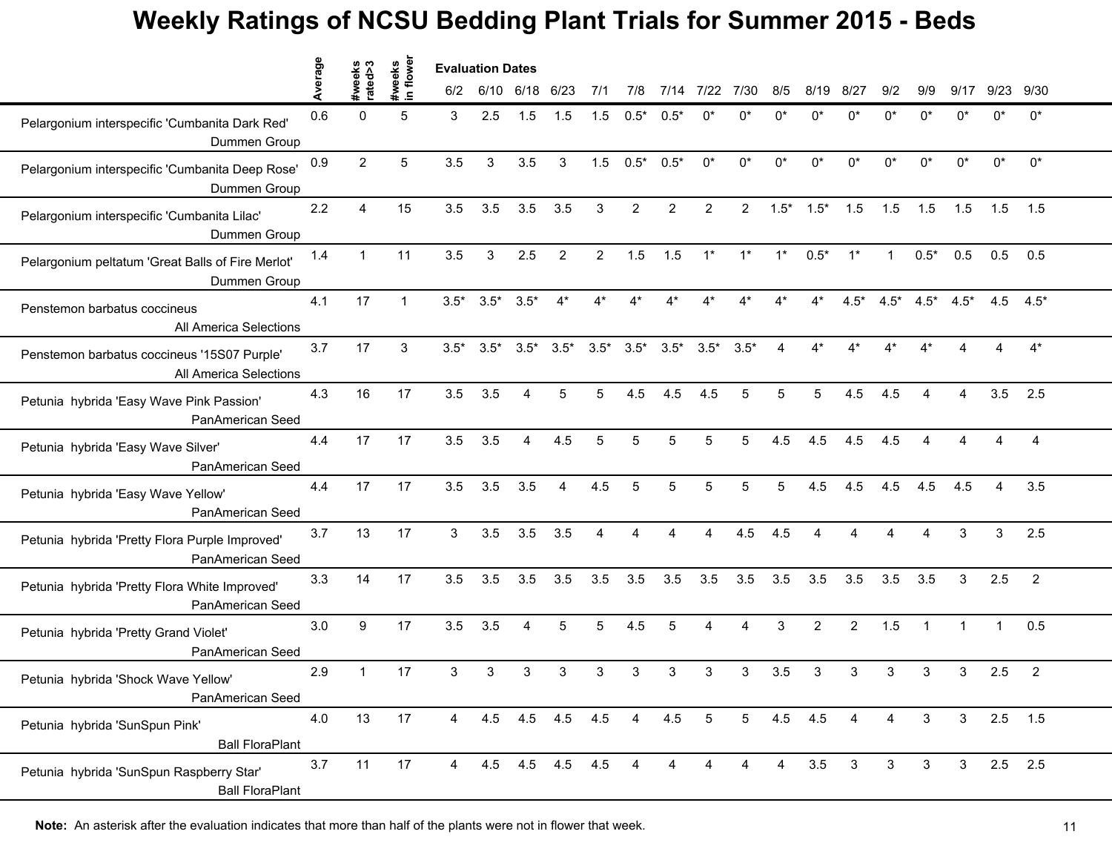|                                                                              | erage | s⊲pis<br>sye∈  | weeks<br>n flower | <b>Evaluation Dates</b> |        |                       |                   |                |                |                 |                 |                |             |                |                         |              |              |                |       |                |
|------------------------------------------------------------------------------|-------|----------------|-------------------|-------------------------|--------|-----------------------|-------------------|----------------|----------------|-----------------|-----------------|----------------|-------------|----------------|-------------------------|--------------|--------------|----------------|-------|----------------|
|                                                                              |       | ate            | $\mathbf{C}$      | 6/2                     |        | 6/10 6/18 6/23        |                   | 7/1            | 7/8            | 7/14            | 7/22            | 7/30           | 8/5         | 8/19           | 8/27                    | 9/2          | 9/9          | 9/17           | 9/23  | 9/30           |
| Pelargonium interspecific 'Cumbanita Dark Red'<br>Dummen Group               | 0.6   | 0              | 5                 | 3                       | 2.5    | 1.5                   | 1.5               | 1.5            | $0.5*$         | $0.5^*$         |                 |                |             |                |                         |              | n*           |                | n*    | $0^*$          |
| Pelargonium interspecific 'Cumbanita Deep Rose'<br>Dummen Group              | 0.9   | $\overline{2}$ | 5                 | 3.5                     | 3      | 3.5                   | $\mathbf{3}$      | 1.5            | $0.5*$         | $0.5*$          | 0*              | 0*             | $0^*$       | 0*             | $0^*$                   | $0^*$        | $0^*$        | $0^*$          | $0^*$ | $0^*$          |
| Pelargonium interspecific 'Cumbanita Lilac'<br>Dummen Group                  | 2.2   | 4              | 15                | 3.5                     | 3.5    | 3.5                   | 3.5               | 3              | $\overline{2}$ | 2               | 2               | $\overline{2}$ | $1.5*$      | $1.5*$         | 1.5                     | 1.5          | 1.5          | 1.5            | 1.5   | 1.5            |
| Pelargonium peltatum 'Great Balls of Fire Merlot'<br>Dummen Group            | 1.4   | $\mathbf{1}$   | 11                | 3.5                     | 3      | 2.5                   | $\overline{2}$    | $\overline{2}$ | 1.5            | 1.5             | $1^*$           | $1^*$          | $1^*$       | $0.5*$         | $1^*$                   | $\mathbf{1}$ | $0.5*$       | 0.5            | 0.5   | 0.5            |
| Penstemon barbatus coccineus<br>All America Selections                       | 4.1   | 17             |                   | $3.5*$                  | $3.5*$ | $3.5*$                |                   |                |                |                 |                 |                |             |                | $4.5*$                  | $4.5*$       | $4.5*$       | $4.5*$         | 4.5   | $4.5*$         |
| Penstemon barbatus coccineus '15S07 Purple'<br><b>All America Selections</b> | 3.7   | 17             | 3                 | $3.5*$                  | $3.5*$ | $3.5*$                | $3.5*$            | $3.5*$         | $3.5*$         | $3.5^*$ $3.5^*$ |                 | $3.5*$         | 4           | $4^*$          | $4*$                    | $4^*$        | $4*$         |                | 4     | $4*$           |
| Petunia hybrida 'Easy Wave Pink Passion'<br>PanAmerican Seed                 | 4.3   | 16             | 17                | 3.5                     | 3.5    | 4                     | 5                 | 5              | 4.5            | 4.5             | 4.5             | 5              | 5           | 5              | 4.5                     | 4.5          | 4            | 4              | 3.5   | 2.5            |
| Petunia hybrida 'Easy Wave Silver'<br>PanAmerican Seed                       | 4.4   | 17             | 17                | 3.5                     | 3.5    | $\overline{4}$        | 4.5               | 5              | 5              | 5               | 5               | 5              | 4.5         | 4.5            | 4.5                     | 4.5          | 4            |                |       | 4              |
| Petunia hybrida 'Easy Wave Yellow'<br>PanAmerican Seed                       | 4.4   | 17             | 17                | 3.5                     | 3.5    | 3.5                   | 4                 | 4.5            | 5              | 5               |                 | 5              | 5           | 4.5            | 4.5                     | 4.5          | 4.5          | 4.5            |       | 3.5            |
| Petunia hybrida 'Pretty Flora Purple Improved'<br>PanAmerican Seed           | 3.7   | 13             | 17                | 3                       | 3.5    | 3.5                   | 3.5               | 4              | 4              | Δ               | 4               | 4.5            | 4.5         | $\overline{4}$ | $\overline{\mathbf{4}}$ | 4            | 4            | 3              | 3     | 2.5            |
| Petunia hybrida 'Pretty Flora White Improved'<br>PanAmerican Seed            | 3.3   | 14             | 17                | 3.5                     | 3.5    | 3.5                   | 3.5               | 3.5            | 3.5            | 3.5             | 3.5             | 3.5            | 3.5         | 3.5            | 3.5                     | 3.5          | 3.5          | 3              | 2.5   | $\overline{2}$ |
| Petunia hybrida 'Pretty Grand Violet'<br>PanAmerican Seed                    | 3.0   | 9              | 17                | 3.5                     | 3.5    | $\boldsymbol{\Delta}$ | 5                 | 5              | 4.5            | 5               |                 | Δ              | 3           | 2              | 2                       | 1.5          | $\mathbf 1$  |                |       | 0.5            |
| Petunia hybrida 'Shock Wave Yellow'<br>PanAmerican Seed                      | 2.9   | 1              | 17                | 3                       | 3      | 3                     | 3                 | 3              |                | 3               | 3               | 3              | 3.5         | 3              | 3                       | 3            | 3            | 3              | 2.5   | $\overline{2}$ |
| Petunia hybrida 'SunSpun Pink'<br><b>Ball FloraPlant</b>                     | 4.0   | 13             | 17                | 4                       |        |                       | 4.5 4.5 4.5 4.5 4 |                |                | 4.5             | $5\overline{)}$ |                | $5$ 4.5 4.5 |                | 4                       | 4            | $\mathbf{3}$ | $\mathbf{3}$   |       | $2.5$ 1.5      |
| Petunia hybrida 'SunSpun Raspberry Star'<br><b>Ball FloraPlant</b>           | 3.7   | 11             | 17                | 4                       |        |                       | 4.5 4.5 4.5 4.5   |                | 4              | 4               |                 | 4              | 4           | 3.5            | $\mathbf{3}$            | 3            | 3            | 3 <sup>1</sup> |       | $2.5$ 2.5      |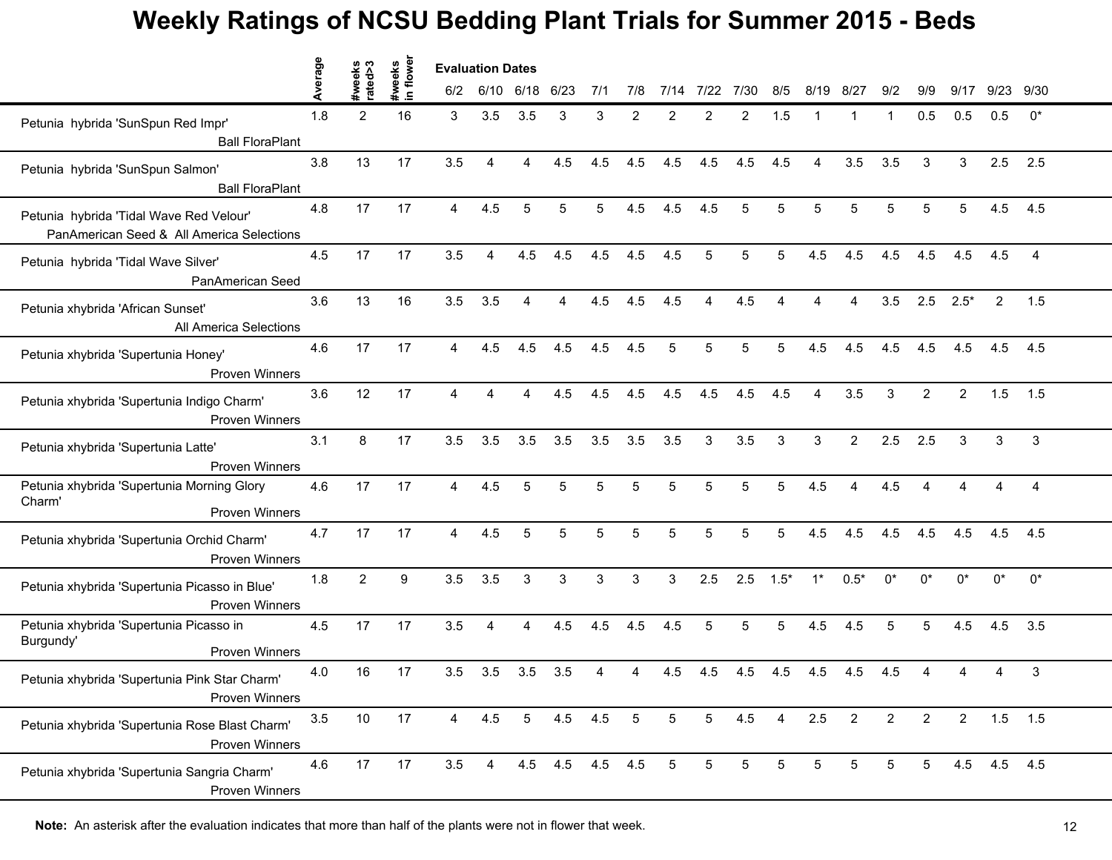|                                                                                      | verage | s<br>s<br>sxeks | weeks<br>n flower | <b>Evaluation Dates</b> |                |                 |             |     |                 |      |      |                |        |                |                |                |                |                |             |              |
|--------------------------------------------------------------------------------------|--------|-----------------|-------------------|-------------------------|----------------|-----------------|-------------|-----|-----------------|------|------|----------------|--------|----------------|----------------|----------------|----------------|----------------|-------------|--------------|
|                                                                                      | ⋖      | ate             | $\mathbf{S}$      | 6/2                     |                | 6/10 6/18 6/23  |             | 7/1 | 7/8             | 7/14 | 7/22 | 7/30           | 8/5    | 8/19           | 8/27           | 9/2            | 9/9            | 9/17           |             | 9/23 9/30    |
| Petunia hybrida 'SunSpun Red Impr'<br><b>Ball FloraPlant</b>                         | 1.8    | $\overline{2}$  | 16                | 3                       | 3.5            | 3.5             | 3           | 3   | $\overline{2}$  | 2    |      | $\overline{2}$ | 1.5    |                |                | 1              | 0.5            | 0.5            | 0.5         | $0^*$        |
| Petunia hybrida 'SunSpun Salmon'<br><b>Ball FloraPlant</b>                           | 3.8    | 13              | 17                | 3.5                     | $\overline{4}$ | 4               | 4.5         | 4.5 | 4.5             | 4.5  | 4.5  | 4.5            | 4.5    | $\overline{4}$ | 3.5            | 3.5            | 3              | 3              | 2.5         | 2.5          |
| Petunia hybrida 'Tidal Wave Red Velour'<br>PanAmerican Seed & All America Selections | 4.8    | 17              | 17                | $\overline{\mathbf{4}}$ | 4.5            | 5               | 5           | 5   | 4.5             | 4.5  | 4.5  | 5              | 5      | 5              | 5              | 5              | 5              | 5              | 4.5         | 4.5          |
| Petunia hybrida 'Tidal Wave Silver'<br>PanAmerican Seed                              | 4.5    | 17              | 17                | 3.5                     | $\overline{4}$ | 4.5             | 4.5         | 4.5 | 4.5             | 4.5  | 5    | 5              | 5      | 4.5            | 4.5            | 4.5            | 4.5            | 4.5            | 4.5         | 4            |
| Petunia xhybrida 'African Sunset'<br>All America Selections                          | 3.6    | 13              | 16                | 3.5                     | 3.5            |                 |             | 4.5 | 4.5             | 4.5  |      | 4.5            |        |                |                | 3.5            | 2.5            | $2.5*$         | 2           | 1.5          |
| Petunia xhybrida 'Supertunia Honey'<br>Proven Winners                                | 4.6    | 17              | 17                | $\overline{4}$          | 4.5            | 4.5             | 4.5         | 4.5 | 4.5             | 5    | 5    | 5              | 5      | 4.5            | 4.5            | 4.5            | 4.5            | 4.5            | 4.5         | 4.5          |
| Petunia xhybrida 'Supertunia Indigo Charm'<br><b>Proven Winners</b>                  | 3.6    | 12              | 17                | 4                       | 4              | $\overline{a}$  | 4.5         | 4.5 | 4.5             | 4.5  | 4.5  | 4.5            | 4.5    | 4              | 3.5            | 3              | 2              | $\overline{2}$ | 1.5         | 1.5          |
| Petunia xhybrida 'Supertunia Latte'<br>Proven Winners                                | 3.1    | 8               | 17                | 3.5                     | 3.5            | 3.5             | 3.5         | 3.5 | 3.5             | 3.5  | 3    | 3.5            | 3      | 3              | $\overline{2}$ | 2.5            | 2.5            | 3              | 3           | 3            |
| Petunia xhybrida 'Supertunia Morning Glory<br>Charm'<br>Proven Winners               | 4.6    | 17              | 17                | 4                       | 4.5            | 5               |             | 5   |                 | 5    |      | 5              | 5      | 4.5            |                | 4.5            |                |                |             | 4            |
| Petunia xhybrida 'Supertunia Orchid Charm'<br><b>Proven Winners</b>                  | 4.7    | 17              | 17                | $\overline{4}$          | 4.5            | $\overline{5}$  | 5           | 5   | 5               | 5    | 5    | 5              | 5      | 4.5            | 4.5            | 4.5            | 4.5            | 4.5            | 4.5         | 4.5          |
| Petunia xhybrida 'Supertunia Picasso in Blue'<br><b>Proven Winners</b>               | 1.8    | $\overline{2}$  | 9                 | 3.5                     | 3.5            | 3               | 3           | 3   | 3               | 3    | 2.5  | 2.5            | $1.5*$ | $1^*$          | $0.5*$         | $0^*$          | $0^*$          | $0^*$          | $0^*$       | $0^*$        |
| Petunia xhybrida 'Supertunia Picasso in<br>Burgundy'<br><b>Proven Winners</b>        | 4.5    | 17              | 17                | 3.5                     | 4              | 4               | 4.5         | 4.5 | 4.5             | 4.5  | 5    | 5              | 5      | 4.5            | 4.5            | 5              | 5              | 4.5            | 4.5         | 3.5          |
| Petunia xhybrida 'Supertunia Pink Star Charm'<br>Proven Winners                      | 4.0    | 16              | 17                | 3.5                     | 3.5            | 3.5             | 3.5         |     |                 | 4.5  | 4.5  | 4.5            | 4.5    | 4.5            | 4.5            | 4.5            |                |                |             | $\mathbf{3}$ |
| Petunia xhybrida 'Supertunia Rose Blast Charm'<br>Proven Winners                     | 3.5    | 10              | 17                | $\overline{4}$          | 4.5            | $5\overline{)}$ | 4.5         | 4.5 | $5\overline{5}$ | 5    | 5    | 4.5            | 4      | 2.5            | $\overline{2}$ | $\overline{2}$ | $\overline{2}$ | $\overline{2}$ | $1.5$ 1.5   |              |
| Petunia xhybrida 'Supertunia Sangria Charm'<br><b>Proven Winners</b>                 | 4.6    | 17              | 17                | 3.5                     | $\overline{4}$ |                 | 4.5 4.5 4.5 |     | 4.5             | 5    | 5    | 5              | 5      | 5              | 5              | 5              | 5              |                | 4.5 4.5 4.5 |              |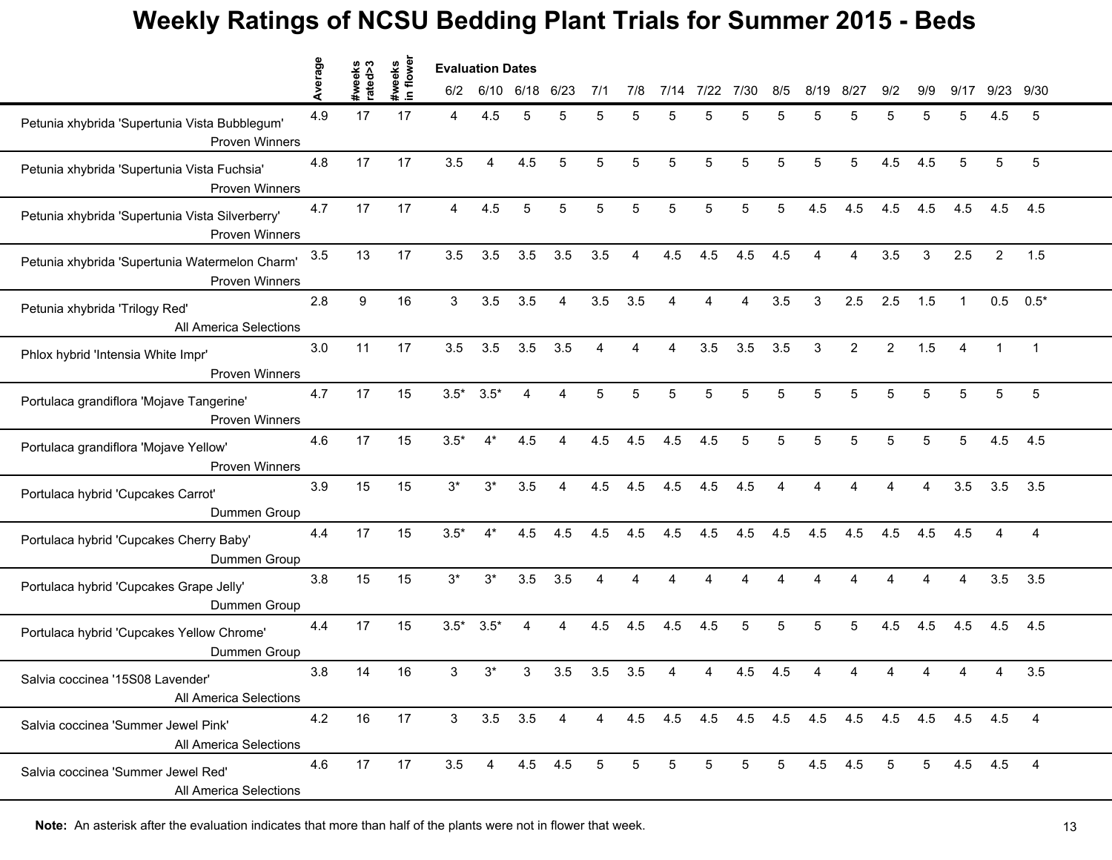|                                                                          | erage | weeks<br>ated>3 | in flower<br>#weeks | <b>Evaluation Dates</b> |                |                |                |     |     |      |      |      |     |      |                |                |     |                         |                |                 |
|--------------------------------------------------------------------------|-------|-----------------|---------------------|-------------------------|----------------|----------------|----------------|-----|-----|------|------|------|-----|------|----------------|----------------|-----|-------------------------|----------------|-----------------|
|                                                                          | ∢     | ate             |                     | 6/2                     | 6/10           | 6/18           | 6/23           | 7/1 | 7/8 | 7/14 | 7/22 | 7/30 | 8/5 | 8/19 | 8/27           | 9/2            | 9/9 | 9/17                    | 9/23           | 9/30            |
| Petunia xhybrida 'Supertunia Vista Bubblegum'<br><b>Proven Winners</b>   | 4.9   | 17              | 17                  | 4                       | 4.5            | 5              |                | 5   |     | 5    |      | 5    | 5   | 5    | 5              | 5              | 5   | 5                       | 4.5            | 5               |
| Petunia xhybrida 'Supertunia Vista Fuchsia'<br><b>Proven Winners</b>     | 4.8   | 17              | 17                  | 3.5                     | $\overline{4}$ | 4.5            | 5              | 5   | 5   | 5    | 5    | 5    | 5   | 5    | 5              | 4.5            | 4.5 | 5                       | 5              | $5\phantom{.0}$ |
| Petunia xhybrida 'Supertunia Vista Silverberry'<br><b>Proven Winners</b> | 4.7   | 17              | 17                  | $\overline{4}$          | 4.5            | 5              | 5              | 5   | 5   | 5    | 5    | 5    | 5   | 4.5  | 4.5            | 4.5            | 4.5 | 4.5                     | 4.5            | 4.5             |
| Petunia xhybrida 'Supertunia Watermelon Charm'<br><b>Proven Winners</b>  | 3.5   | 13              | 17                  | 3.5                     | 3.5            | 3.5            | 3.5            | 3.5 | 4   | 4.5  | 4.5  | 4.5  | 4.5 |      | 4              | 3.5            | 3   | 2.5                     | $\overline{2}$ | 1.5             |
| Petunia xhybrida 'Trilogy Red'<br>All America Selections                 | 2.8   | 9               | 16                  | 3                       | 3.5            | 3.5            |                | 3.5 | 3.5 |      |      |      | 3.5 | 3    | 2.5            | 2.5            | 1.5 |                         | 0.5            | $0.5*$          |
| Phlox hybrid 'Intensia White Impr'<br><b>Proven Winners</b>              | 3.0   | 11              | 17                  | 3.5                     | 3.5            | 3.5            | 3.5            | 4   | 4   | 4    | 3.5  | 3.5  | 3.5 | 3    | $\overline{2}$ | $\overline{2}$ | 1.5 | $\overline{\mathbf{4}}$ | $\mathbf 1$    | $\overline{1}$  |
| Portulaca grandiflora 'Mojave Tangerine'<br>Proven Winners               | 4.7   | 17              | 15                  | $3.5*$                  | $3.5*$         | 4              | 4              | 5   | 5   | 5    | 5    | 5    | 5   | 5    | 5              | 5              | 5   | 5                       | 5              | $\,$ 5 $\,$     |
| Portulaca grandiflora 'Mojave Yellow'<br>Proven Winners                  | 4.6   | 17              | 15                  | $3.5*$                  | $4^*$          | 4.5            | 4              | 4.5 | 4.5 | 4.5  | 4.5  | 5    | 5   | 5    | 5              | 5              | 5   | 5                       | 4.5            | 4.5             |
| Portulaca hybrid 'Cupcakes Carrot'<br>Dummen Group                       | 3.9   | 15              | 15                  | $3^*$                   | $3^*$          | 3.5            |                | 4.5 | 4.5 | 4.5  | 4.5  | 4.5  |     |      |                |                |     | 3.5                     | 3.5            | 3.5             |
| Portulaca hybrid 'Cupcakes Cherry Baby'<br>Dummen Group                  | 4.4   | 17              | 15                  | $3.5*$                  | $4^*$          | 4.5            | 4.5            | 4.5 | 4.5 | 4.5  | 4.5  | 4.5  | 4.5 | 4.5  | 4.5            | 4.5            | 4.5 | 4.5                     | 4              | 4               |
| Portulaca hybrid 'Cupcakes Grape Jelly'<br>Dummen Group                  | 3.8   | 15              | 15                  | $3^*$                   | $3^*$          | 3.5            | 3.5            | 4   | 4   | 4    |      |      |     |      |                | 4              | 4   | 4                       | 3.5            | 3.5             |
| Portulaca hybrid 'Cupcakes Yellow Chrome'<br>Dummen Group                | 4.4   | 17              | 15                  | $3.5*$                  | $3.5*$         | Δ              | 4              | 4.5 | 4.5 | 4.5  | 4.5  | 5    | 5   | 5    | 5              | 4.5            | 4.5 | 4.5                     | 4.5            | 4.5             |
| Salvia coccinea '15S08 Lavender'<br>All America Selections               | 3.8   | 14              | 16                  | 3                       | 3*             | 3              | 3.5            | 3.5 | 3.5 |      |      | 4.5  | 4.5 |      |                |                |     |                         |                | 3.5             |
| Salvia coccinea 'Summer Jewel Pink'<br>All America Selections            | 4.2   | 16              | 17                  | 3 <sup>1</sup>          |                | $3.5\quad 3.5$ | $\overline{4}$ |     |     |      |      |      |     |      |                |                |     |                         |                | 4               |
| Salvia coccinea 'Summer Jewel Red'<br>All America Selections             | 4.6   | 17              | 17                  | 3.5                     | $\overline{4}$ | 4.5 4.5        |                | 5   | 5   | 5    | 5    | 5    | 5   | 4.5  | 4.5            | 5              | 5   |                         | 4.5 4.5        | 4               |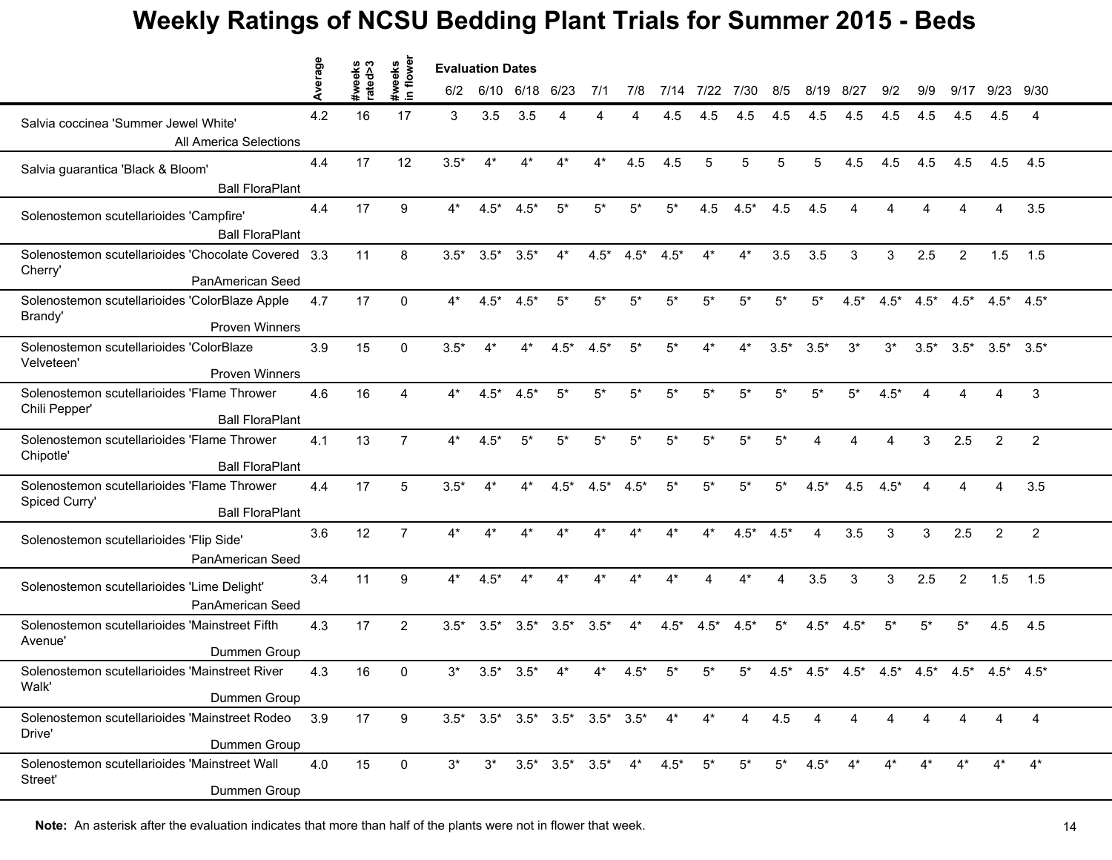|                                                                                        | Average | S                | flower<br>weeks | <b>Evaluation Dates</b> |                                                 |                |                         |        |        |        |           |        |        |        |         |        |                 |                |                 |                 |  |
|----------------------------------------------------------------------------------------|---------|------------------|-----------------|-------------------------|-------------------------------------------------|----------------|-------------------------|--------|--------|--------|-----------|--------|--------|--------|---------|--------|-----------------|----------------|-----------------|-----------------|--|
|                                                                                        |         | #week<br>rated>∶ | $\blacksquare$  | 6/2                     |                                                 | 6/10 6/18 6/23 |                         | 7/1    | 7/8    | 7/14   | 7/22 7/30 |        | 8/5    | 8/19   | 8/27    | 9/2    | 9/9             | 9/17           |                 | 9/23 9/30       |  |
| Salvia coccinea 'Summer Jewel White'<br>All America Selections                         | 4.2     | 16               | 17              | 3                       | 3.5                                             | 3.5            |                         |        |        | 4.5    | 4.5       | 4.5    | 4.5    | 4.5    | 4.5     | 4.5    | 4.5             | 4.5            | 4.5             | 4               |  |
| Salvia guarantica 'Black & Bloom'<br><b>Ball FloraPlant</b>                            | 4.4     | 17               | 12              | $3.5*$                  | $4^*$                                           | $4^*$          | $4^*$                   | $4^*$  | 4.5    | 4.5    | 5         | 5      | 5      | 5      | 4.5     | 4.5    | 4.5             | 4.5            | 4.5             | 4.5             |  |
| Solenostemon scutellarioides 'Campfire'<br><b>Ball FloraPlant</b>                      | 4.4     | 17               | 9               | 4*                      | $4.5*$                                          | $4.5*$         | $5^*$                   | $5^*$  | $5*$   | $5^*$  | 4.5       | $4.5*$ | 4.5    | 4.5    | 4       | 4      | Δ               |                | 4               | 3.5             |  |
| Solenostemon scutellarioides 'Chocolate Covered 3.3<br>Cherry'<br>PanAmerican Seed     |         | 11               | 8               | $3.5*$                  | $3.5*$                                          | $3.5*$         | $4^*$                   | $4.5*$ | $4.5*$ | $4.5*$ | $4^*$     | $4^*$  | 3.5    | 3.5    | 3       | 3      | 2.5             | $\overline{2}$ | 1.5             | 1.5             |  |
| Solenostemon scutellarioides 'ColorBlaze Apple<br>Brandy'<br><b>Proven Winners</b>     | 4.7     | 17               | $\Omega$        | 4*                      | $4.5*$                                          | $4.5*$         | $5^*$                   | $5*$   | $5*$   | $5*$   | $5*$      | $5*$   | $5*$   | $5^*$  | $4.5*$  | $4.5*$ | $4.5*$          | $4.5*$         |                 | $4.5^*$ $4.5^*$ |  |
| Solenostemon scutellarioides 'ColorBlaze<br>Velveteen'<br><b>Proven Winners</b>        | 3.9     | 15               | $\Omega$        | $3.5*$                  | $4^*$                                           | $4^*$          | $4.5*$                  | $4.5*$ | $5^*$  | $5*$   | 4*        | $4^*$  | $3.5*$ | $3.5*$ | $3^*$   | $3^*$  | $3.5*$          | $3.5*$         | $3.5^*$ $3.5^*$ |                 |  |
| Solenostemon scutellarioides 'Flame Thrower<br>Chili Pepper'<br><b>Ball FloraPlant</b> | 4.6     | 16               | 4               | 4*                      | $4.5*$                                          | $4.5*$         | $5^*$                   | $5^*$  | $5*$   | $5*$   | $5^*$     | $5*$   | $5^*$  | $5*$   | $5^*$   | $4.5*$ | ⊿               |                |                 | 3               |  |
| Solenostemon scutellarioides 'Flame Thrower<br>Chipotle'<br><b>Ball FloraPlant</b>     | 4.1     | 13               | $\overline{7}$  | 4*                      | $4.5*$                                          | $5*$           | $5^*$                   | $5^*$  | $5*$   | $5*$   | $5*$      | $5*$   | $5^*$  | 4      | 4       | 4      | 3               | 2.5            | $\overline{2}$  | $\overline{2}$  |  |
| Solenostemon scutellarioides 'Flame Thrower<br>Spiced Curry'<br><b>Ball FloraPlant</b> | 4.4     | 17               | 5               | $3.5*$                  | 4*                                              | 4*             | $4.5*$                  | $4.5*$ | $4.5*$ | $5*$   | $5*$      | $5*$   | $5*$   | $4.5*$ | 4.5     | $4.5*$ |                 |                |                 | 3.5             |  |
| Solenostemon scutellarioides 'Flip Side'<br>PanAmerican Seed                           | 3.6     | 12               | $\overline{7}$  | $4^*$                   | $4*$                                            | $4*$           | $4^*$                   | $4^*$  | $4^*$  | $4*$   | $4^*$     | $4.5*$ | $4.5*$ | 4      | 3.5     | 3      | 3               | 2.5            | $\overline{2}$  | $\overline{2}$  |  |
| Solenostemon scutellarioides 'Lime Delight'<br>PanAmerican Seed                        | 3.4     | 11               | 9               | 4*                      | $4.5*$                                          |                |                         |        | $4^*$  | 4*     | Δ         | $4^*$  | 4      | 3.5    | 3       | 3      | 2.5             | 2              | 1.5             | 1.5             |  |
| Solenostemon scutellarioides 'Mainstreet Fifth<br>Avenue'<br>Dummen Group              | 4.3     | 17               | $\overline{2}$  | $3.5*$                  | $3.5*$                                          | $3.5^*$        | $3.5*$                  | $3.5*$ | $4^*$  | $4.5*$ | $4.5*$    | $4.5*$ | $5^*$  | $4.5*$ | $4.5*$  | $5^*$  | $5^*$           | $5^*$          | 4.5             | 4.5             |  |
| Solenostemon scutellarioides 'Mainstreet River<br>Walk'<br>Dummen Group                | 4.3     | 16               | 0               | 3*                      | $3.5*$                                          | $3.5*$         |                         |        | .5*    | 5*     | 5*        | 5*     | $4.5*$ | $4.5*$ | $4.5^*$ |        | $4.5^*$ $4.5^*$ | $4.5*$         | $4.5^*$ $4.5^*$ |                 |  |
| Solenostemon scutellarioides 'Mainstreet Rodeo<br>Drive'<br>Dummen Group               | 3.9     | 17               | 9               |                         | $3.5^*$ $3.5^*$ $3.5^*$ $3.5^*$ $3.5^*$ $3.5^*$ |                |                         |        |        | $4^*$  | $4^*$     | 4      | 4.5    | 4      | 4       |        |                 |                |                 | 4               |  |
| Solenostemon scutellarioides 'Mainstreet Wall<br>Street'<br>Dummen Group               | 4.0     | 15               | 0               | $3^*$                   | $3^*$                                           |                | $3.5^*$ $3.5^*$ $3.5^*$ |        | $4^*$  | $4.5*$ | 5*        | $5^*$  | $5^*$  | $4.5*$ |         |        |                 |                |                 | $4^*$           |  |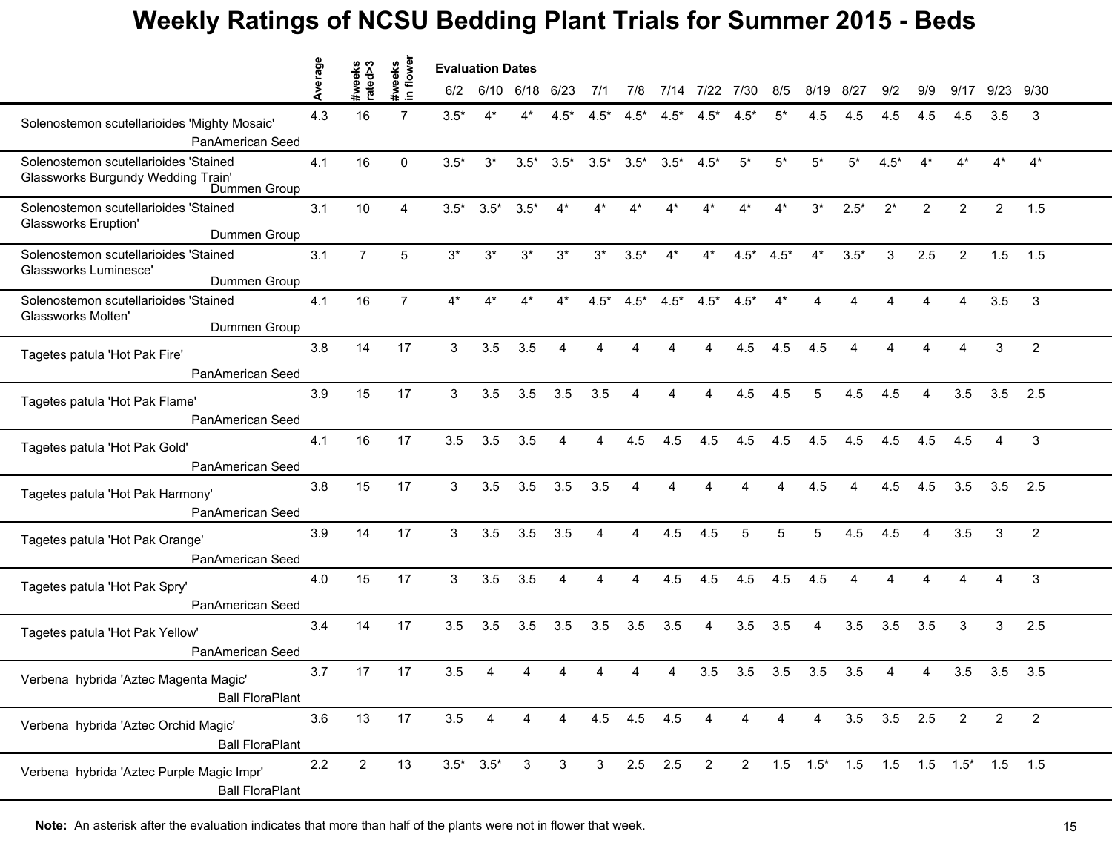|                                                                                             | Average |                   | #weeks       | <b>Evaluation Dates</b> |              |        |              |        |                         |                         |                |        |        |                |                |                   |                |                         |                |                |  |
|---------------------------------------------------------------------------------------------|---------|-------------------|--------------|-------------------------|--------------|--------|--------------|--------|-------------------------|-------------------------|----------------|--------|--------|----------------|----------------|-------------------|----------------|-------------------------|----------------|----------------|--|
|                                                                                             |         | #weeks<br>rated>3 | $\mathbf{C}$ | 6/2                     | 6/10         | 6/18   | 6/23         | 7/1    | 7/8                     | 7/14                    | 7/22 7/30      |        | 8/5    | 8/19           | 8/27           | 9/2               | 9/9            | 9/17                    |                | 9/23 9/30      |  |
| Solenostemon scutellarioides 'Mighty Mosaic'<br>PanAmerican Seed                            | 4.3     | 16                |              | $3.5*$                  | $4^*$        |        | .5*          | $4.5*$ | $4.5*$                  | $4.5*$                  | $4.5*$         |        | 5*     | 4.5            | 4.5            | 4.5               | 4.5            | 4.5                     | 3.5            | 3              |  |
| Solenostemon scutellarioides 'Stained<br>Glassworks Burgundy Wedding Train'<br>Dummen Group | 4.1     | 16                | 0            | $3.5*$                  | $3^*$        | $3.5*$ | $3.5*$       | $3.5*$ |                         | $3.5^*$ $3.5^*$ $4.5^*$ |                | $5^*$  | $5*$   | $5^*$          | $5^*$          | $4.5*$            | $4^*$          | 4*                      | $4*$           | $4^*$          |  |
| Solenostemon scutellarioides 'Stained<br><b>Glassworks Eruption'</b><br>Dummen Group        | 3.1     | 10                | 4            | $3.5*$                  | $3.5*$       | $3.5*$ | $4^*$        | $4^*$  | 4*                      |                         | 4*             | 4*     | $4^*$  | $3^*$          | $2.5*$         | $2^*$             | $\overline{2}$ | $\overline{2}$          | $\overline{2}$ | 1.5            |  |
| Solenostemon scutellarioides 'Stained<br>Glassworks Luminesce'<br>Dummen Group              | 3.1     | $\overline{7}$    | 5            | $3^*$                   | $3^*$        | $3^*$  | $3^*$        | $3^*$  | $3.5*$                  | $4^*$                   | $4^*$          | $4.5*$ | $4.5*$ | $4^*$          | $3.5*$         | 3                 | 2.5            | $\overline{2}$          | 1.5            | 1.5            |  |
| Solenostemon scutellarioides 'Stained<br>Glassworks Molten'<br>Dummen Group                 | 4.1     | 16                | 7            | 4*                      |              |        |              | $4.5*$ | $4.5*$                  | $4.5*$                  | $4.5*$         | $4.5*$ | $4^*$  |                |                |                   |                |                         | 3.5            | 3              |  |
| Tagetes patula 'Hot Pak Fire'<br>PanAmerican Seed                                           | 3.8     | 14                | 17           | 3                       | 3.5          | 3.5    | 4            | 4      | Δ                       |                         | $\Delta$       | 4.5    | 4.5    | 4.5            | $\overline{4}$ | 4                 | 4              | $\overline{\mathbf{A}}$ | 3              | $\overline{2}$ |  |
| Tagetes patula 'Hot Pak Flame'<br>PanAmerican Seed                                          | 3.9     | 15                | 17           | 3                       | 3.5          | 3.5    | 3.5          | 3.5    | 4                       | 4                       | 4              | 4.5    | 4.5    | 5              | 4.5            | 4.5               | 4              | 3.5                     | 3.5            | 2.5            |  |
| Tagetes patula 'Hot Pak Gold'<br>PanAmerican Seed                                           | 4.1     | 16                | 17           | 3.5                     | 3.5          | 3.5    | 4            | 4      | 4.5                     | 4.5                     | 4.5            | 4.5    | 4.5    | 4.5            | 4.5            | 4.5               | 4.5            | 4.5                     |                | 3              |  |
| Tagetes patula 'Hot Pak Harmony'<br>PanAmerican Seed                                        | 3.8     | 15                | 17           | 3                       | 3.5          | 3.5    | 3.5          | 3.5    |                         |                         |                |        |        | 4.5            |                | 4.5               | 4.5            | 3.5                     | 3.5            | 2.5            |  |
| Tagetes patula 'Hot Pak Orange'<br>PanAmerican Seed                                         | 3.9     | 14                | 17           | 3                       | 3.5          | 3.5    | 3.5          | 4      | $\overline{4}$          | 4.5                     | 4.5            | 5      | 5      | 5              | 4.5            | 4.5               | 4              | 3.5                     | 3              | 2              |  |
| Tagetes patula 'Hot Pak Spry'<br>PanAmerican Seed                                           | 4.0     | 15                | 17           | 3                       | 3.5          | 3.5    | 4            | 4      | $\overline{\mathbf{4}}$ | 4.5                     | 4.5            | 4.5    | 4.5    | 4.5            | 4              | 4                 | 4              |                         | 4              | 3              |  |
| Tagetes patula 'Hot Pak Yellow'<br>PanAmerican Seed                                         | 3.4     | 14                | 17           | 3.5                     | 3.5          | 3.5    | 3.5          | 3.5    | 3.5                     | 3.5                     | 4              | 3.5    | 3.5    | 4              | 3.5            | 3.5               | 3.5            | 3                       | 3              | 2.5            |  |
| Verbena hybrida 'Aztec Magenta Magic'<br><b>Ball FloraPlant</b>                             | 3.7     | 17                | 17           | 3.5                     |              |        |              |        |                         |                         | 3.5            | 3.5    | 3.5    | 3.5            | 3.5            | 4                 | 4              | 3.5                     | 3.5            | 3.5            |  |
| Verbena hybrida 'Aztec Orchid Magic'<br><b>Ball FloraPlant</b>                              | 3.6     | 13                | 17           | 3.5                     | 4            | 4      | 4            |        | 4.5 4.5 4.5             |                         | 4              | 4      | 4      | $\overline{4}$ |                | $3.5$ $3.5$ $2.5$ |                | $\overline{2}$          | $\overline{2}$ | $\overline{c}$ |  |
| Verbena hybrida 'Aztec Purple Magic Impr'<br><b>Ball FloraPlant</b>                         | 2.2     | $\overline{2}$    | 13           |                         | $3.5^*$ 3.5* | 3      | $\mathbf{3}$ |        | $3$ 2.5 2.5             |                         | $\overline{2}$ |        |        |                |                |                   |                |                         |                |                |  |